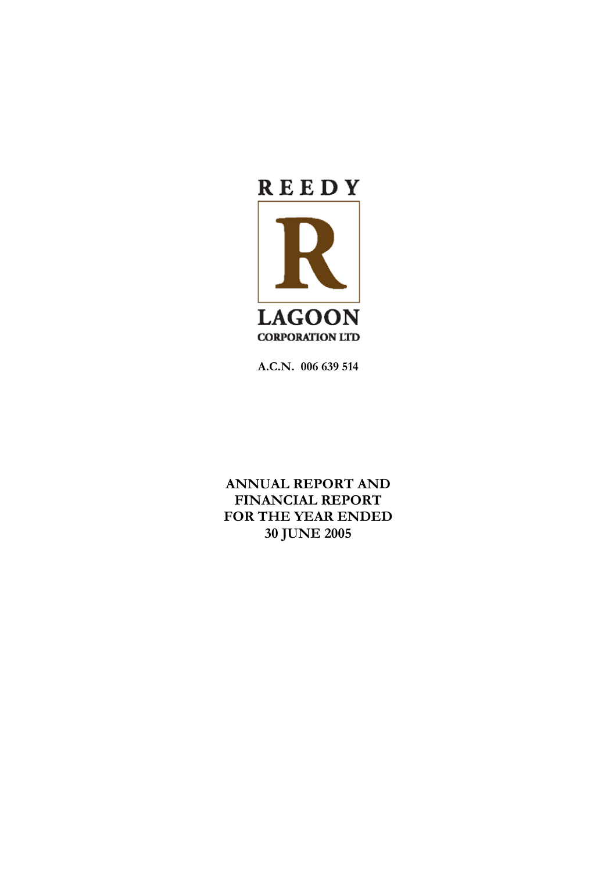

**A.C.N. 006 639 514** 

**ANNUAL REPORT AND FINANCIAL REPORT FOR THE YEAR ENDED 30 JUNE 2005**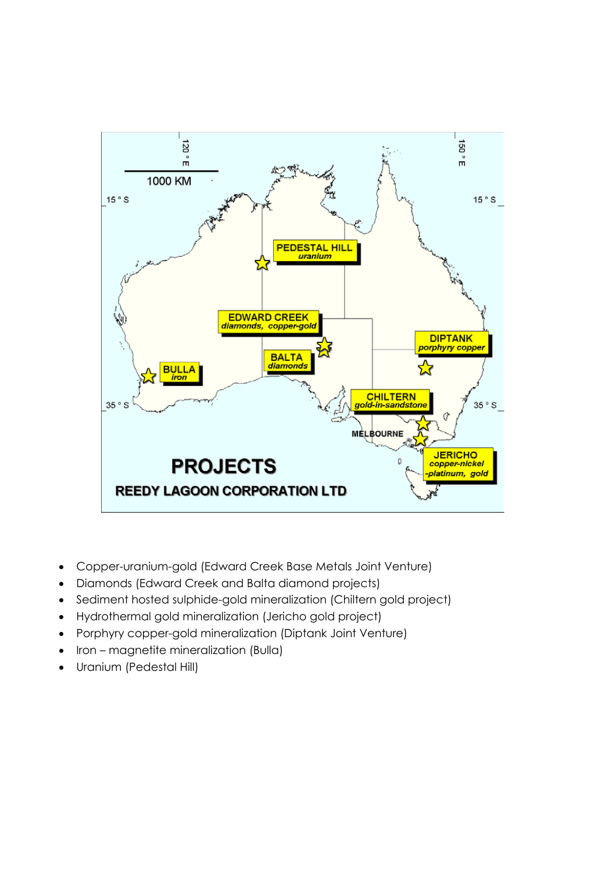

- Copper-uranium-gold (Edward Creek Base Metals Joint Venture)
- Diamonds (Edward Creek and Balta diamond projects)
- Sediment hosted sulphide-gold mineralization (Chiltern gold project)
- Hydrothermal gold mineralization (Jericho gold project)
- Porphyry copper-gold mineralization (Diptank Joint Venture)
- Iron magnetite mineralization (Bulla)
- Uranium (Pedestal Hill)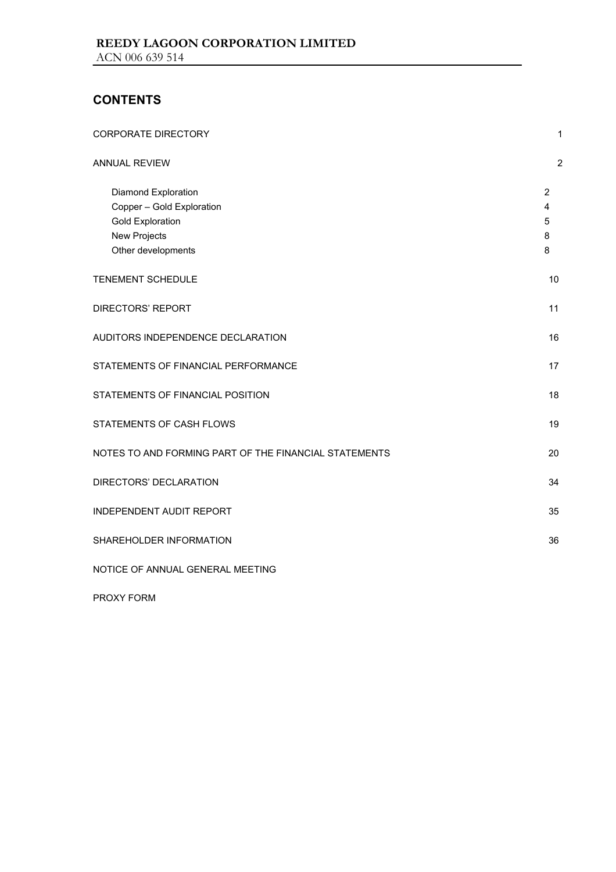# **CONTENTS**

| <b>CORPORATE DIRECTORY</b>                                                                                        | $\mathbf{1}$                       |
|-------------------------------------------------------------------------------------------------------------------|------------------------------------|
| <b>ANNUAL REVIEW</b>                                                                                              | $\sqrt{2}$                         |
| Diamond Exploration<br>Copper - Gold Exploration<br><b>Gold Exploration</b><br>New Projects<br>Other developments | $\overline{2}$<br>4<br>5<br>8<br>8 |
| <b>TENEMENT SCHEDULE</b>                                                                                          | 10                                 |
| <b>DIRECTORS' REPORT</b>                                                                                          | 11                                 |
| AUDITORS INDEPENDENCE DECLARATION                                                                                 | 16                                 |
| STATEMENTS OF FINANCIAL PERFORMANCE                                                                               | 17                                 |
| STATEMENTS OF FINANCIAL POSITION                                                                                  | 18                                 |
| STATEMENTS OF CASH FLOWS                                                                                          | 19                                 |
| NOTES TO AND FORMING PART OF THE FINANCIAL STATEMENTS                                                             | 20                                 |
| DIRECTORS' DECLARATION                                                                                            | 34                                 |
| <b>INDEPENDENT AUDIT REPORT</b>                                                                                   | 35                                 |
| SHAREHOLDER INFORMATION                                                                                           | 36                                 |
| NOTICE OF ANNUAL GENERAL MEETING                                                                                  |                                    |

PROXY FORM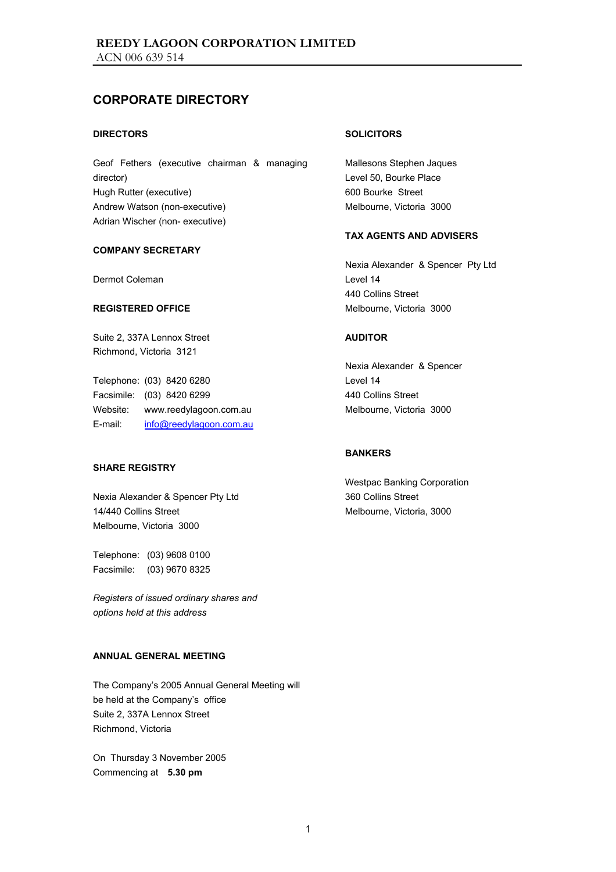# **CORPORATE DIRECTORY**

### **DIRECTORS**

Geof Fethers (executive chairman & managing director) Hugh Rutter (executive) Andrew Watson (non-executive) Adrian Wischer (non- executive)

#### **COMPANY SECRETARY**

Dermot Coleman

#### **REGISTERED OFFICE**

Suite 2, 337A Lennox Street Richmond, Victoria 3121

Telephone: (03) 8420 6280 Facsimile: (03) 8420 6299 Website: www.reedylagoon.com.au E-mail: info@reedylagoon.com.au

### **SHARE REGISTRY**

Nexia Alexander & Spencer Pty Ltd 14/440 Collins Street Melbourne, Victoria 3000

Telephone: (03) 9608 0100 Facsimile: (03) 9670 8325

*Registers of issued ordinary shares and options held at this address* 

### **ANNUAL GENERAL MEETING**

The Company's 2005 Annual General Meeting will be held at the Company's office Suite 2, 337A Lennox Street Richmond, Victoria

On Thursday 3 November 2005 Commencing at **5.30 pm**

#### **SOLICITORS**

Mallesons Stephen Jaques Level 50, Bourke Place 600 Bourke Street Melbourne, Victoria 3000

#### **TAX AGENTS AND ADVISERS**

Nexia Alexander & Spencer Pty Ltd Level 14 440 Collins Street Melbourne, Victoria 3000

### **AUDITOR**

Nexia Alexander & Spencer Level 14 440 Collins Street Melbourne, Victoria 3000

### **BANKERS**

Westpac Banking Corporation 360 Collins Street Melbourne, Victoria, 3000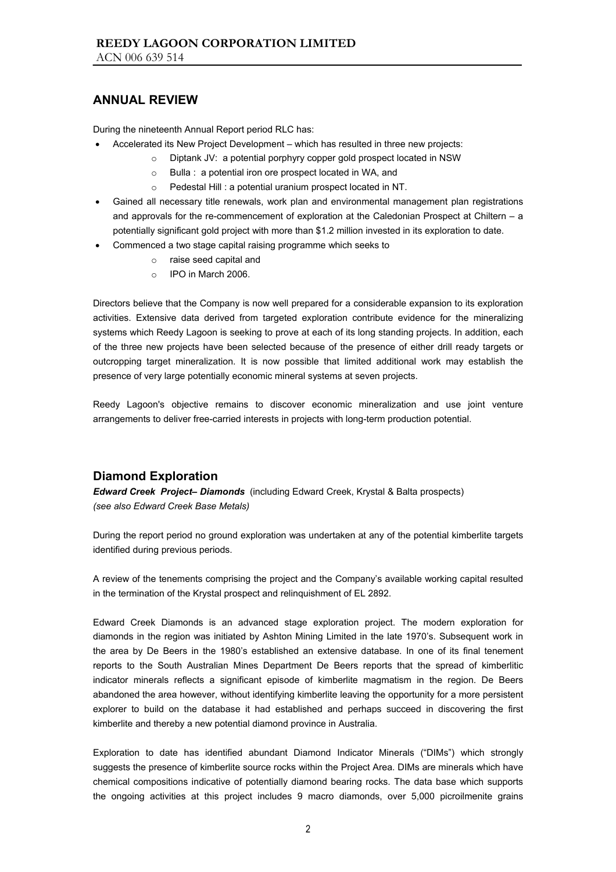During the nineteenth Annual Report period RLC has:

- Accelerated its New Project Development which has resulted in three new projects:
	- o Diptank JV: a potential porphyry copper gold prospect located in NSW
		- o Bulla : a potential iron ore prospect located in WA, and
		- o Pedestal Hill : a potential uranium prospect located in NT.
- Gained all necessary title renewals, work plan and environmental management plan registrations and approvals for the re-commencement of exploration at the Caledonian Prospect at Chiltern – a potentially significant gold project with more than \$1.2 million invested in its exploration to date.
- Commenced a two stage capital raising programme which seeks to
	- o raise seed capital and
	- o IPO in March 2006.

Directors believe that the Company is now well prepared for a considerable expansion to its exploration activities. Extensive data derived from targeted exploration contribute evidence for the mineralizing systems which Reedy Lagoon is seeking to prove at each of its long standing projects. In addition, each of the three new projects have been selected because of the presence of either drill ready targets or outcropping target mineralization. It is now possible that limited additional work may establish the presence of very large potentially economic mineral systems at seven projects.

Reedy Lagoon's objective remains to discover economic mineralization and use joint venture arrangements to deliver free-carried interests in projects with long-term production potential.

# **Diamond Exploration**

*Edward Creek Project– Diamonds*(including Edward Creek, Krystal & Balta prospects) *(see also Edward Creek Base Metals)* 

During the report period no ground exploration was undertaken at any of the potential kimberlite targets identified during previous periods.

A review of the tenements comprising the project and the Company's available working capital resulted in the termination of the Krystal prospect and relinquishment of EL 2892.

Edward Creek Diamonds is an advanced stage exploration project. The modern exploration for diamonds in the region was initiated by Ashton Mining Limited in the late 1970's. Subsequent work in the area by De Beers in the 1980's established an extensive database. In one of its final tenement reports to the South Australian Mines Department De Beers reports that the spread of kimberlitic indicator minerals reflects a significant episode of kimberlite magmatism in the region. De Beers abandoned the area however, without identifying kimberlite leaving the opportunity for a more persistent explorer to build on the database it had established and perhaps succeed in discovering the first kimberlite and thereby a new potential diamond province in Australia.

Exploration to date has identified abundant Diamond Indicator Minerals ("DIMs") which strongly suggests the presence of kimberlite source rocks within the Project Area. DIMs are minerals which have chemical compositions indicative of potentially diamond bearing rocks. The data base which supports the ongoing activities at this project includes 9 macro diamonds, over 5,000 picroilmenite grains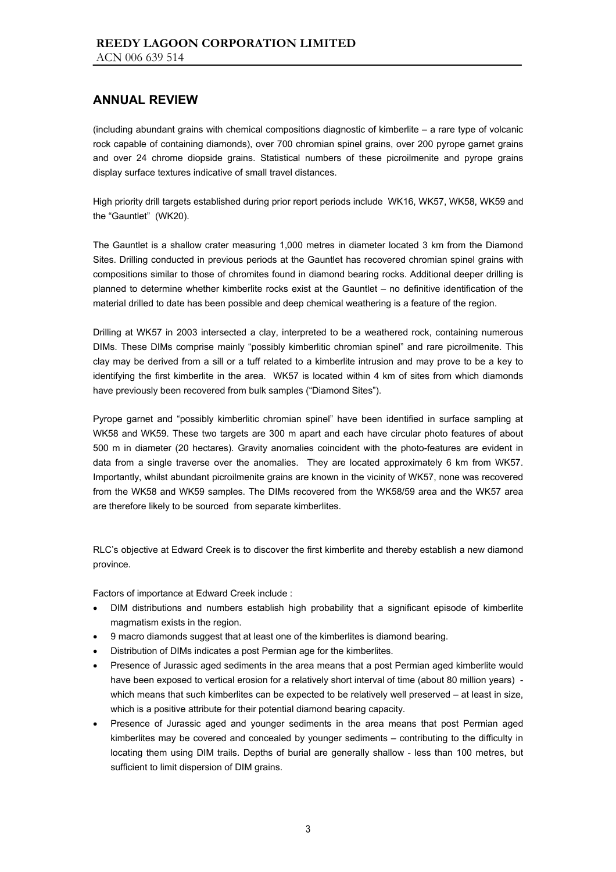(including abundant grains with chemical compositions diagnostic of kimberlite – a rare type of volcanic rock capable of containing diamonds), over 700 chromian spinel grains, over 200 pyrope garnet grains and over 24 chrome diopside grains. Statistical numbers of these picroilmenite and pyrope grains display surface textures indicative of small travel distances.

High priority drill targets established during prior report periods include WK16, WK57, WK58, WK59 and the "Gauntlet" (WK20).

The Gauntlet is a shallow crater measuring 1,000 metres in diameter located 3 km from the Diamond Sites. Drilling conducted in previous periods at the Gauntlet has recovered chromian spinel grains with compositions similar to those of chromites found in diamond bearing rocks. Additional deeper drilling is planned to determine whether kimberlite rocks exist at the Gauntlet – no definitive identification of the material drilled to date has been possible and deep chemical weathering is a feature of the region.

Drilling at WK57 in 2003 intersected a clay, interpreted to be a weathered rock, containing numerous DIMs. These DIMs comprise mainly "possibly kimberlitic chromian spinel" and rare picroilmenite. This clay may be derived from a sill or a tuff related to a kimberlite intrusion and may prove to be a key to identifying the first kimberlite in the area. WK57 is located within 4 km of sites from which diamonds have previously been recovered from bulk samples ("Diamond Sites").

Pyrope garnet and "possibly kimberlitic chromian spinel" have been identified in surface sampling at WK58 and WK59. These two targets are 300 m apart and each have circular photo features of about 500 m in diameter (20 hectares). Gravity anomalies coincident with the photo-features are evident in data from a single traverse over the anomalies. They are located approximately 6 km from WK57. Importantly, whilst abundant picroilmenite grains are known in the vicinity of WK57, none was recovered from the WK58 and WK59 samples. The DIMs recovered from the WK58/59 area and the WK57 area are therefore likely to be sourced from separate kimberlites.

RLC's objective at Edward Creek is to discover the first kimberlite and thereby establish a new diamond province.

Factors of importance at Edward Creek include :

- DIM distributions and numbers establish high probability that a significant episode of kimberlite magmatism exists in the region.
- 9 macro diamonds suggest that at least one of the kimberlites is diamond bearing.
- Distribution of DIMs indicates a post Permian age for the kimberlites.
- Presence of Jurassic aged sediments in the area means that a post Permian aged kimberlite would have been exposed to vertical erosion for a relatively short interval of time (about 80 million years) which means that such kimberlites can be expected to be relatively well preserved – at least in size, which is a positive attribute for their potential diamond bearing capacity.
- Presence of Jurassic aged and younger sediments in the area means that post Permian aged kimberlites may be covered and concealed by younger sediments – contributing to the difficulty in locating them using DIM trails. Depths of burial are generally shallow - less than 100 metres, but sufficient to limit dispersion of DIM grains.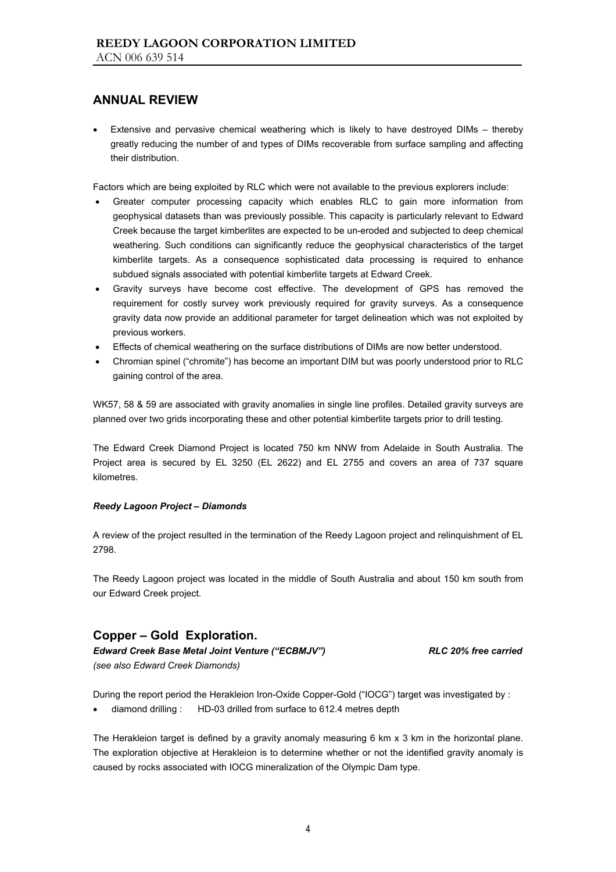• Extensive and pervasive chemical weathering which is likely to have destroyed DIMs – thereby greatly reducing the number of and types of DIMs recoverable from surface sampling and affecting their distribution.

Factors which are being exploited by RLC which were not available to the previous explorers include:

- Greater computer processing capacity which enables RLC to gain more information from geophysical datasets than was previously possible. This capacity is particularly relevant to Edward Creek because the target kimberlites are expected to be un-eroded and subjected to deep chemical weathering. Such conditions can significantly reduce the geophysical characteristics of the target kimberlite targets. As a consequence sophisticated data processing is required to enhance subdued signals associated with potential kimberlite targets at Edward Creek.
- Gravity surveys have become cost effective. The development of GPS has removed the requirement for costly survey work previously required for gravity surveys. As a consequence gravity data now provide an additional parameter for target delineation which was not exploited by previous workers.
- Effects of chemical weathering on the surface distributions of DIMs are now better understood.
- Chromian spinel ("chromite") has become an important DIM but was poorly understood prior to RLC gaining control of the area.

WK57, 58 & 59 are associated with gravity anomalies in single line profiles. Detailed gravity surveys are planned over two grids incorporating these and other potential kimberlite targets prior to drill testing.

The Edward Creek Diamond Project is located 750 km NNW from Adelaide in South Australia. The Project area is secured by EL 3250 (EL 2622) and EL 2755 and covers an area of 737 square kilometres.

### *Reedy Lagoon Project – Diamonds*

A review of the project resulted in the termination of the Reedy Lagoon project and relinquishment of EL 2798.

The Reedy Lagoon project was located in the middle of South Australia and about 150 km south from our Edward Creek project.

# **Copper – Gold Exploration.**

*Edward Creek Base Metal Joint Venture ("ECBMJV") RLC 20% free carried (see also Edward Creek Diamonds)* 

During the report period the Herakleion Iron-Oxide Copper-Gold ("IOCG") target was investigated by :

• diamond drilling : HD-03 drilled from surface to 612.4 metres depth

The Herakleion target is defined by a gravity anomaly measuring 6 km x 3 km in the horizontal plane. The exploration objective at Herakleion is to determine whether or not the identified gravity anomaly is caused by rocks associated with IOCG mineralization of the Olympic Dam type.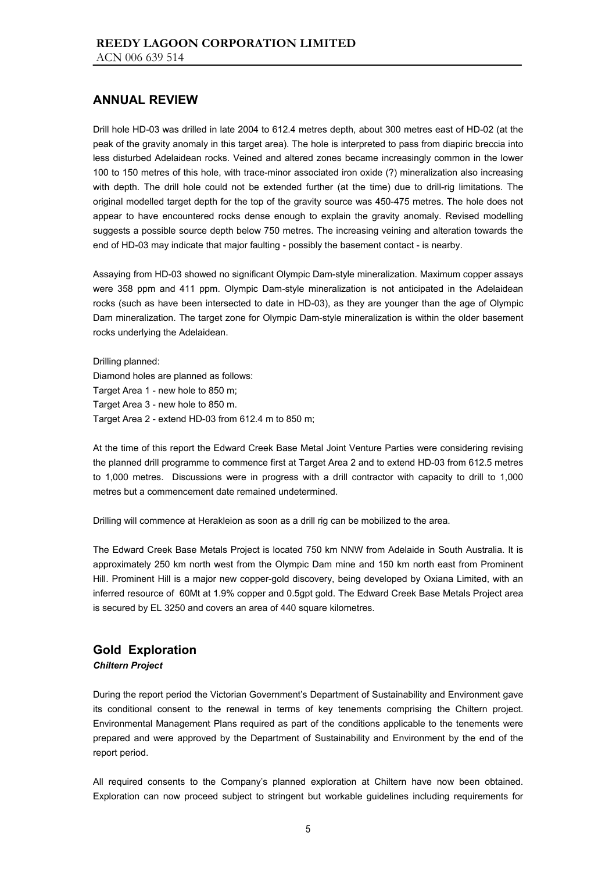Drill hole HD-03 was drilled in late 2004 to 612.4 metres depth, about 300 metres east of HD-02 (at the peak of the gravity anomaly in this target area). The hole is interpreted to pass from diapiric breccia into less disturbed Adelaidean rocks. Veined and altered zones became increasingly common in the lower 100 to 150 metres of this hole, with trace-minor associated iron oxide (?) mineralization also increasing with depth. The drill hole could not be extended further (at the time) due to drill-rig limitations. The original modelled target depth for the top of the gravity source was 450-475 metres. The hole does not appear to have encountered rocks dense enough to explain the gravity anomaly. Revised modelling suggests a possible source depth below 750 metres. The increasing veining and alteration towards the end of HD-03 may indicate that major faulting - possibly the basement contact - is nearby.

Assaying from HD-03 showed no significant Olympic Dam-style mineralization. Maximum copper assays were 358 ppm and 411 ppm. Olympic Dam-style mineralization is not anticipated in the Adelaidean rocks (such as have been intersected to date in HD-03), as they are younger than the age of Olympic Dam mineralization. The target zone for Olympic Dam-style mineralization is within the older basement rocks underlying the Adelaidean.

Drilling planned: Diamond holes are planned as follows: Target Area 1 - new hole to 850 m; Target Area 3 - new hole to 850 m. Target Area 2 - extend HD-03 from 612.4 m to 850 m;

At the time of this report the Edward Creek Base Metal Joint Venture Parties were considering revising the planned drill programme to commence first at Target Area 2 and to extend HD-03 from 612.5 metres to 1,000 metres. Discussions were in progress with a drill contractor with capacity to drill to 1,000 metres but a commencement date remained undetermined.

Drilling will commence at Herakleion as soon as a drill rig can be mobilized to the area.

The Edward Creek Base Metals Project is located 750 km NNW from Adelaide in South Australia. It is approximately 250 km north west from the Olympic Dam mine and 150 km north east from Prominent Hill. Prominent Hill is a major new copper-gold discovery, being developed by Oxiana Limited, with an inferred resource of 60Mt at 1.9% copper and 0.5gpt gold. The Edward Creek Base Metals Project area is secured by EL 3250 and covers an area of 440 square kilometres.

# **Gold Exploration**

# *Chiltern Project*

During the report period the Victorian Government's Department of Sustainability and Environment gave its conditional consent to the renewal in terms of key tenements comprising the Chiltern project. Environmental Management Plans required as part of the conditions applicable to the tenements were prepared and were approved by the Department of Sustainability and Environment by the end of the report period.

All required consents to the Company's planned exploration at Chiltern have now been obtained. Exploration can now proceed subject to stringent but workable guidelines including requirements for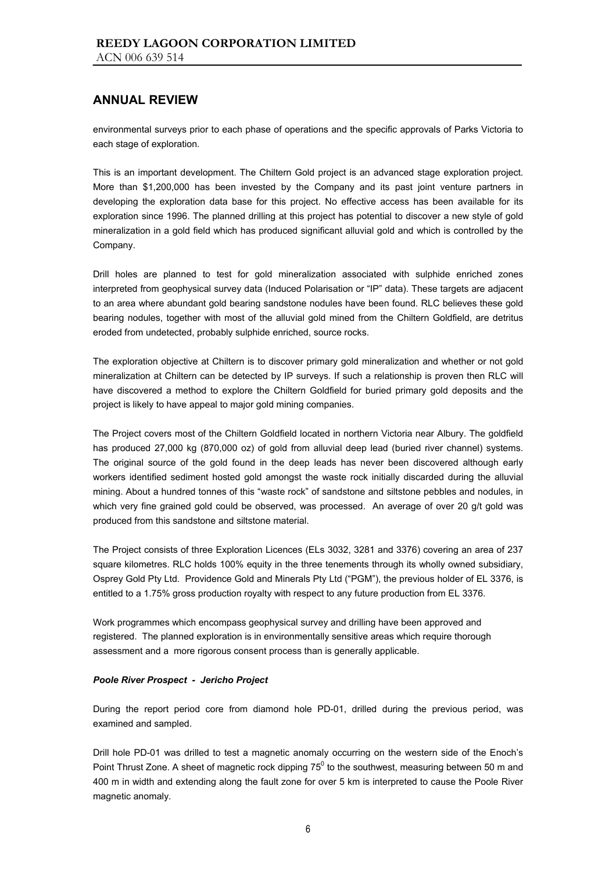environmental surveys prior to each phase of operations and the specific approvals of Parks Victoria to each stage of exploration.

This is an important development. The Chiltern Gold project is an advanced stage exploration project. More than \$1,200,000 has been invested by the Company and its past joint venture partners in developing the exploration data base for this project. No effective access has been available for its exploration since 1996. The planned drilling at this project has potential to discover a new style of gold mineralization in a gold field which has produced significant alluvial gold and which is controlled by the Company.

Drill holes are planned to test for gold mineralization associated with sulphide enriched zones interpreted from geophysical survey data (Induced Polarisation or "IP" data). These targets are adjacent to an area where abundant gold bearing sandstone nodules have been found. RLC believes these gold bearing nodules, together with most of the alluvial gold mined from the Chiltern Goldfield, are detritus eroded from undetected, probably sulphide enriched, source rocks.

The exploration objective at Chiltern is to discover primary gold mineralization and whether or not gold mineralization at Chiltern can be detected by IP surveys. If such a relationship is proven then RLC will have discovered a method to explore the Chiltern Goldfield for buried primary gold deposits and the project is likely to have appeal to major gold mining companies.

The Project covers most of the Chiltern Goldfield located in northern Victoria near Albury. The goldfield has produced 27,000 kg (870,000 oz) of gold from alluvial deep lead (buried river channel) systems. The original source of the gold found in the deep leads has never been discovered although early workers identified sediment hosted gold amongst the waste rock initially discarded during the alluvial mining. About a hundred tonnes of this "waste rock" of sandstone and siltstone pebbles and nodules, in which very fine grained gold could be observed, was processed. An average of over 20 g/t gold was produced from this sandstone and siltstone material.

The Project consists of three Exploration Licences (ELs 3032, 3281 and 3376) covering an area of 237 square kilometres. RLC holds 100% equity in the three tenements through its wholly owned subsidiary, Osprey Gold Pty Ltd. Providence Gold and Minerals Pty Ltd ("PGM"), the previous holder of EL 3376, is entitled to a 1.75% gross production royalty with respect to any future production from EL 3376.

Work programmes which encompass geophysical survey and drilling have been approved and registered. The planned exploration is in environmentally sensitive areas which require thorough assessment and a more rigorous consent process than is generally applicable.

### *Poole River Prospect - Jericho Project*

During the report period core from diamond hole PD-01, drilled during the previous period, was examined and sampled.

Drill hole PD-01 was drilled to test a magnetic anomaly occurring on the western side of the Enoch's Point Thrust Zone. A sheet of magnetic rock dipping 75<sup>0</sup> to the southwest, measuring between 50 m and 400 m in width and extending along the fault zone for over 5 km is interpreted to cause the Poole River magnetic anomaly.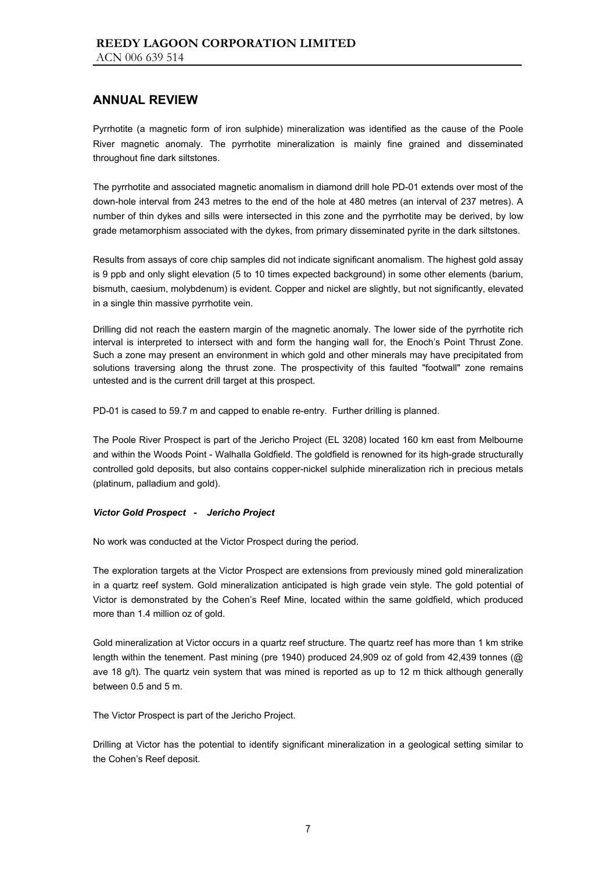Pyrrhotite (a magnetic form of iron sulphide) mineralization was identified as the cause of the Poole River magnetic anomaly. The pyrrhotite mineralization is mainly fine grained and disseminated throughout fine dark siltstones.

The pyrrhotite and associated magnetic anomalism in diamond drill hole PD-01 extends over most of the down-hole interval from 243 metres to the end of the hole at 480 metres (an interval of 237 metres). A number of thin dykes and sills were intersected in this zone and the pyrrhotite may be derived, by low grade metamorphism associated with the dykes, from primary disseminated pyrite in the dark siltstones.

Results from assays of core chip samples did not indicate significant anomalism. The highest gold assay is 9 ppb and only slight elevation (5 to 10 times expected background) in some other elements (barium, bismuth, caesium, molybdenum) is evident. Copper and nickel are slightly, but not significantly, elevated in a single thin massive pyrrhotite vein.

Drilling did not reach the eastern margin of the magnetic anomaly. The lower side of the pyrrhotite rich interval is interpreted to intersect with and form the hanging wall for, the Enoch's Point Thrust Zone. Such a zone may present an environment in which gold and other minerals may have precipitated from solutions traversing along the thrust zone. The prospectivity of this faulted "footwall" zone remains untested and is the current drill target at this prospect.

PD-01 is cased to 59.7 m and capped to enable re-entry. Further drilling is planned.

The Poole River Prospect is part of the Jericho Project (EL 3208) located 160 km east from Melbourne and within the Woods Point - Walhalla Goldfield. The goldfield is renowned for its high-grade structurally controlled gold deposits, but also contains copper-nickel sulphide mineralization rich in precious metals (platinum, palladium and gold).

### *Victor Gold Prospect - Jericho Project*

No work was conducted at the Victor Prospect during the period.

The exploration targets at the Victor Prospect are extensions from previously mined gold mineralization in a quartz reef system. Gold mineralization anticipated is high grade vein style. The gold potential of Victor is demonstrated by the Cohen's Reef Mine, located within the same goldfield, which produced more than 1.4 million oz of gold.

Gold mineralization at Victor occurs in a quartz reef structure. The quartz reef has more than 1 km strike length within the tenement. Past mining (pre 1940) produced 24,909 oz of gold from 42,439 tonnes (@ ave 18 g/t). The quartz vein system that was mined is reported as up to 12 m thick although generally between 0.5 and 5 m.

The Victor Prospect is part of the Jericho Project.

Drilling at Victor has the potential to identify significant mineralization in a geological setting similar to the Cohen's Reef deposit.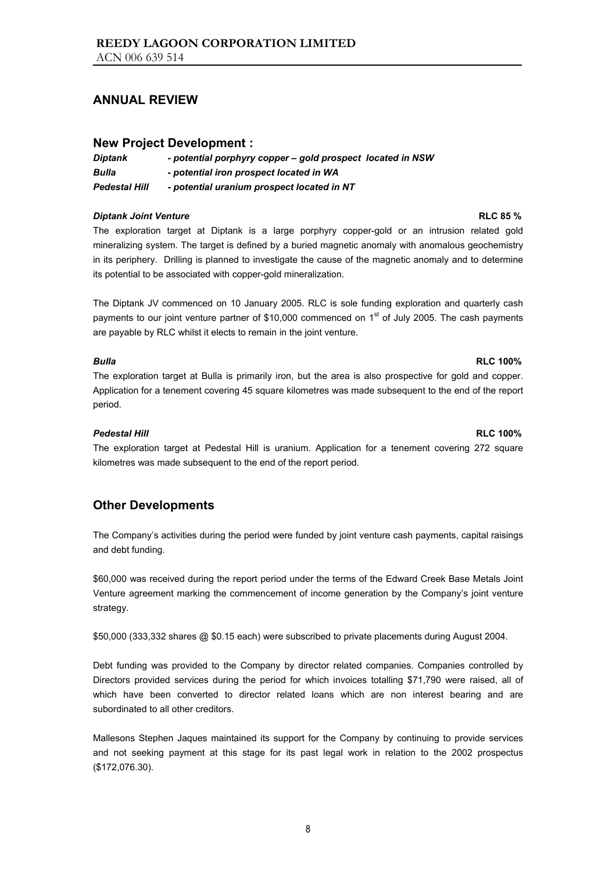# **New Project Development :**

| <b>Diptank</b>       | - potential porphyry copper – gold prospect located in NSW |
|----------------------|------------------------------------------------------------|
| Bulla                | - potential iron prospect located in WA                    |
| <b>Pedestal Hill</b> | - potential uranium prospect located in NT                 |

# *Diptank Joint Venture* **RLC 85 %**

The exploration target at Diptank is a large porphyry copper-gold or an intrusion related gold mineralizing system. The target is defined by a buried magnetic anomaly with anomalous geochemistry in its periphery. Drilling is planned to investigate the cause of the magnetic anomaly and to determine its potential to be associated with copper-gold mineralization.

The Diptank JV commenced on 10 January 2005. RLC is sole funding exploration and quarterly cash payments to our joint venture partner of \$10,000 commenced on 1<sup>st</sup> of July 2005. The cash payments are payable by RLC whilst it elects to remain in the joint venture.

### *Bulla* **RLC 100%**

The exploration target at Bulla is primarily iron, but the area is also prospective for gold and copper. Application for a tenement covering 45 square kilometres was made subsequent to the end of the report period.

### *Pedestal Hill* **RLC 100%**

The exploration target at Pedestal Hill is uranium. Application for a tenement covering 272 square kilometres was made subsequent to the end of the report period.

# **Other Developments**

The Company's activities during the period were funded by joint venture cash payments, capital raisings and debt funding.

\$60,000 was received during the report period under the terms of the Edward Creek Base Metals Joint Venture agreement marking the commencement of income generation by the Company's joint venture strategy.

\$50,000 (333,332 shares @ \$0.15 each) were subscribed to private placements during August 2004.

Debt funding was provided to the Company by director related companies. Companies controlled by Directors provided services during the period for which invoices totalling \$71,790 were raised, all of which have been converted to director related loans which are non interest bearing and are subordinated to all other creditors.

Mallesons Stephen Jaques maintained its support for the Company by continuing to provide services and not seeking payment at this stage for its past legal work in relation to the 2002 prospectus (\$172,076.30).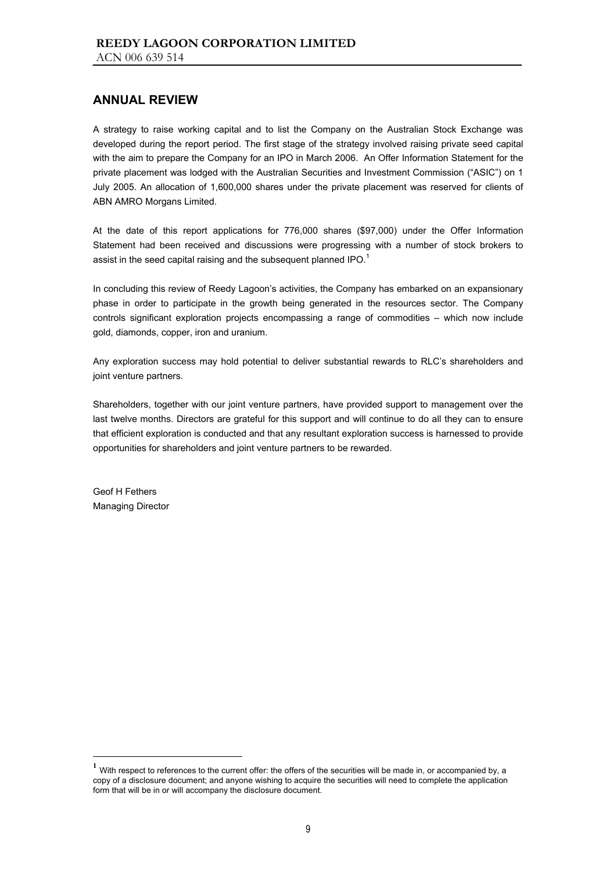A strategy to raise working capital and to list the Company on the Australian Stock Exchange was developed during the report period. The first stage of the strategy involved raising private seed capital with the aim to prepare the Company for an IPO in March 2006. An Offer Information Statement for the private placement was lodged with the Australian Securities and Investment Commission ("ASIC") on 1 July 2005. An allocation of 1,600,000 shares under the private placement was reserved for clients of ABN AMRO Morgans Limited.

At the date of this report applications for 776,000 shares (\$97,000) under the Offer Information Statement had been received and discussions were progressing with a number of stock brokers to assist in the seed capital raising and the subsequent planned  $IPO.<sup>1</sup>$ 

In concluding this review of Reedy Lagoon's activities, the Company has embarked on an expansionary phase in order to participate in the growth being generated in the resources sector. The Company controls significant exploration projects encompassing a range of commodities – which now include gold, diamonds, copper, iron and uranium.

Any exploration success may hold potential to deliver substantial rewards to RLC's shareholders and joint venture partners.

Shareholders, together with our joint venture partners, have provided support to management over the last twelve months. Directors are grateful for this support and will continue to do all they can to ensure that efficient exploration is conducted and that any resultant exploration success is harnessed to provide opportunities for shareholders and joint venture partners to be rewarded.

Geof H Fethers Managing Director

 $\overline{a}$ 

With respect to references to the current offer: the offers of the securities will be made in, or accompanied by, a copy of a disclosure document; and anyone wishing to acquire the securities will need to complete the application form that will be in or will accompany the disclosure document.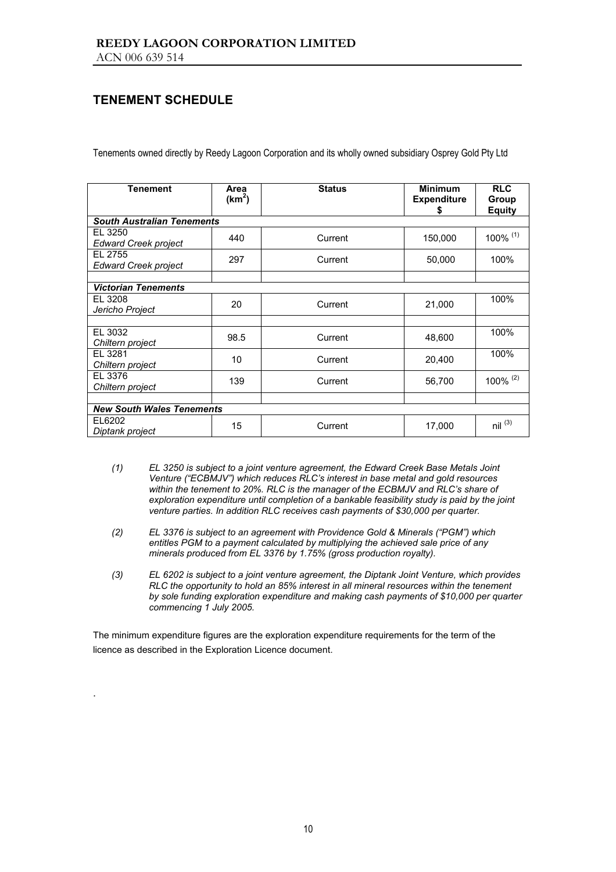# **TENEMENT SCHEDULE**

.

Tenements owned directly by Reedy Lagoon Corporation and its wholly owned subsidiary Osprey Gold Pty Ltd

| <b>Tenement</b>                        | Area<br>(km <sup>2</sup> ) | <b>Status</b> | <b>Minimum</b><br><b>Expenditure</b><br>S | <b>RLC</b><br>Group<br><b>Equity</b> |
|----------------------------------------|----------------------------|---------------|-------------------------------------------|--------------------------------------|
| <b>South Australian Tenements</b>      |                            |               |                                           |                                      |
| EL 3250<br><b>Edward Creek project</b> | 440                        | Current       | 150,000                                   | 100% (1)                             |
| EL 2755<br><b>Edward Creek project</b> | 297                        | Current       | 50,000                                    | 100%                                 |
|                                        |                            |               |                                           |                                      |
| <b>Victorian Tenements</b>             |                            |               |                                           |                                      |
| EL 3208<br>Jericho Project             | 20                         | Current       | 21,000                                    | 100%                                 |
|                                        |                            |               |                                           |                                      |
| EL 3032<br>Chiltern project            | 98.5                       | Current       | 48,600                                    | 100%                                 |
| EL 3281<br>Chiltern project            | 10                         | Current       | 20,400                                    | 100%                                 |
| EL 3376<br>Chiltern project            | 139                        | Current       | 56,700                                    | $100\%$ <sup>(2)</sup>               |
|                                        |                            |               |                                           |                                      |
| <b>New South Wales Tenements</b>       |                            |               |                                           |                                      |
| EL6202<br>Diptank project              | 15                         | Current       | 17,000                                    | $nil^{(3)}$                          |

- *(1) EL 3250 is subject to a joint venture agreement, the Edward Creek Base Metals Joint Venture ("ECBMJV") which reduces RLC's interest in base metal and gold resources*  within the tenement to 20%. RLC is the manager of the ECBMJV and RLC's share of *exploration expenditure until completion of a bankable feasibility study is paid by the joint venture parties. In addition RLC receives cash payments of \$30,000 per quarter.*
- *(2) EL 3376 is subject to an agreement with Providence Gold & Minerals ("PGM") which entitles PGM to a payment calculated by multiplying the achieved sale price of any minerals produced from EL 3376 by 1.75% (gross production royalty).*
- *(3) EL 6202 is subject to a joint venture agreement, the Diptank Joint Venture, which provides RLC the opportunity to hold an 85% interest in all mineral resources within the tenement by sole funding exploration expenditure and making cash payments of \$10,000 per quarter commencing 1 July 2005.*

The minimum expenditure figures are the exploration expenditure requirements for the term of the licence as described in the Exploration Licence document.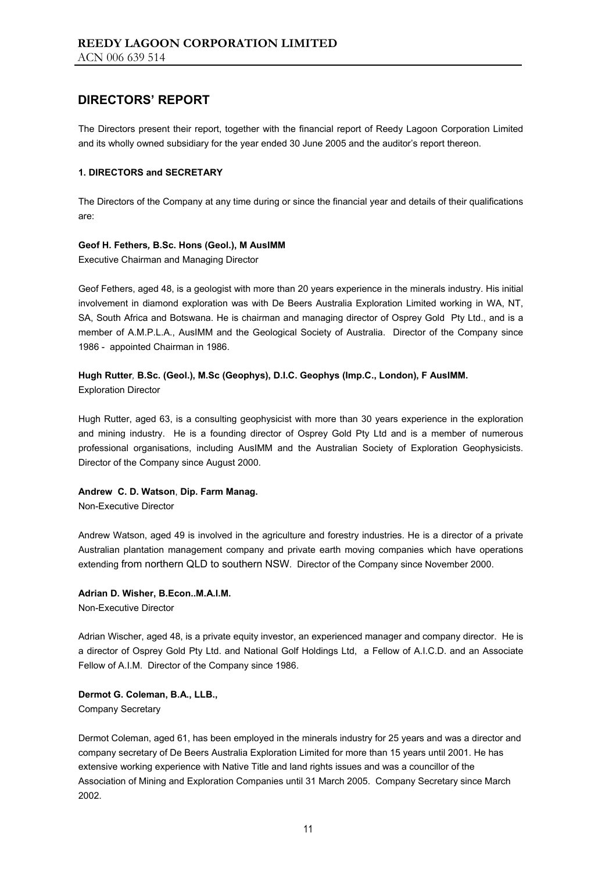The Directors present their report, together with the financial report of Reedy Lagoon Corporation Limited and its wholly owned subsidiary for the year ended 30 June 2005 and the auditor's report thereon.

### **1. DIRECTORS and SECRETARY**

The Directors of the Company at any time during or since the financial year and details of their qualifications are:

### **Geof H. Fethers***,* **B.Sc. Hons (Geol.), M AusIMM**

Executive Chairman and Managing Director

Geof Fethers, aged 48, is a geologist with more than 20 years experience in the minerals industry. His initial involvement in diamond exploration was with De Beers Australia Exploration Limited working in WA, NT, SA, South Africa and Botswana. He is chairman and managing director of Osprey Gold Pty Ltd., and is a member of A.M.P.L.A., AusIMM and the Geological Society of Australia. Director of the Company since 1986 - appointed Chairman in 1986.

# **Hugh Rutter***,* **B.Sc. (Geol.), M.Sc (Geophys), D.I.C. Geophys (Imp.C., London), F AusIMM.** Exploration Director

Hugh Rutter, aged 63, is a consulting geophysicist with more than 30 years experience in the exploration and mining industry. He is a founding director of Osprey Gold Pty Ltd and is a member of numerous professional organisations, including AusIMM and the Australian Society of Exploration Geophysicists. Director of the Company since August 2000.

### **Andrew C. D. Watson**, **Dip. Farm Manag.**

Non-Executive Director

Andrew Watson, aged 49 is involved in the agriculture and forestry industries. He is a director of a private Australian plantation management company and private earth moving companies which have operations extending from northern QLD to southern NSW. Director of the Company since November 2000.

### **Adrian D. Wisher, B.Econ..M.A.I.M.**

Non-Executive Director

Adrian Wischer, aged 48, is a private equity investor, an experienced manager and company director. He is a director of Osprey Gold Pty Ltd. and National Golf Holdings Ltd, a Fellow of A.I.C.D. and an Associate Fellow of A.I.M. Director of the Company since 1986.

# **Dermot G. Coleman, B.A., LLB.,**

Company Secretary

Dermot Coleman, aged 61, has been employed in the minerals industry for 25 years and was a director and company secretary of De Beers Australia Exploration Limited for more than 15 years until 2001. He has extensive working experience with Native Title and land rights issues and was a councillor of the Association of Mining and Exploration Companies until 31 March 2005. Company Secretary since March 2002.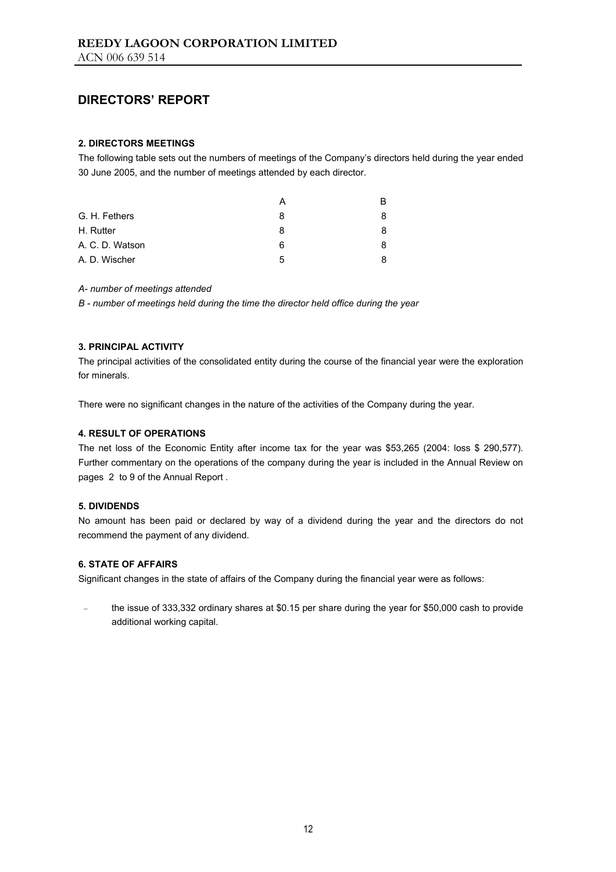## **2. DIRECTORS MEETINGS**

The following table sets out the numbers of meetings of the Company's directors held during the year ended 30 June 2005, and the number of meetings attended by each director.

|                 |   | R |
|-----------------|---|---|
| G. H. Fethers   | 8 | 8 |
| H. Rutter       | 8 | 8 |
| A. C. D. Watson | 6 | 8 |
| A. D. Wischer   | 5 |   |

### *A- number of meetings attended*

*B - number of meetings held during the time the director held office during the year* 

# **3. PRINCIPAL ACTIVITY**

The principal activities of the consolidated entity during the course of the financial year were the exploration for minerals.

There were no significant changes in the nature of the activities of the Company during the year.

### **4. RESULT OF OPERATIONS**

The net loss of the Economic Entity after income tax for the year was \$53,265 (2004: loss \$ 290,577). Further commentary on the operations of the company during the year is included in the Annual Review on pages 2 to 9 of the Annual Report .

### **5. DIVIDENDS**

No amount has been paid or declared by way of a dividend during the year and the directors do not recommend the payment of any dividend.

### **6. STATE OF AFFAIRS**

Significant changes in the state of affairs of the Company during the financial year were as follows:

the issue of 333,332 ordinary shares at \$0.15 per share during the year for \$50,000 cash to provide additional working capital.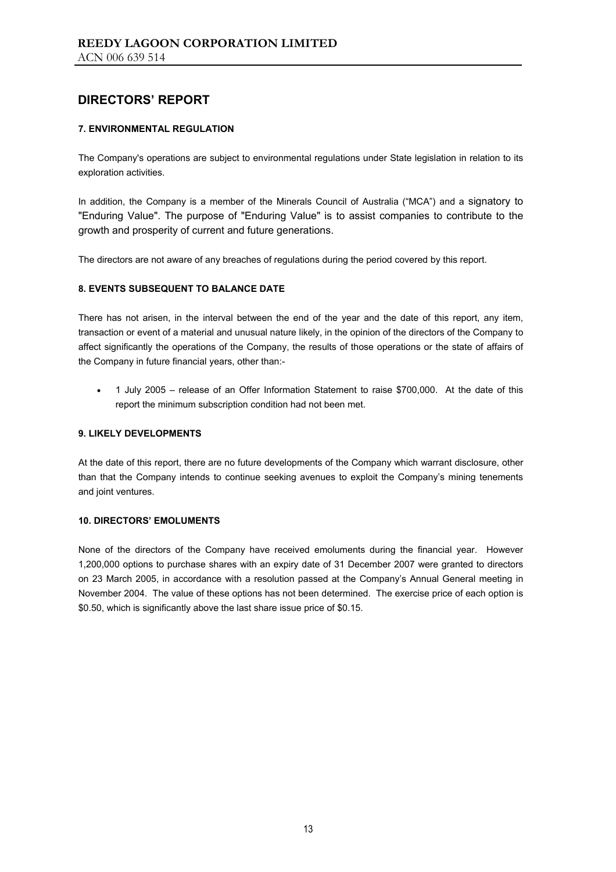### **7. ENVIRONMENTAL REGULATION**

The Company's operations are subject to environmental regulations under State legislation in relation to its exploration activities.

In addition, the Company is a member of the Minerals Council of Australia ("MCA") and a signatory to "Enduring Value". The purpose of "Enduring Value" is to assist companies to contribute to the growth and prosperity of current and future generations.

The directors are not aware of any breaches of regulations during the period covered by this report.

### **8. EVENTS SUBSEQUENT TO BALANCE DATE**

There has not arisen, in the interval between the end of the year and the date of this report, any item, transaction or event of a material and unusual nature likely, in the opinion of the directors of the Company to affect significantly the operations of the Company, the results of those operations or the state of affairs of the Company in future financial years, other than:-

• 1 July 2005 – release of an Offer Information Statement to raise \$700,000. At the date of this report the minimum subscription condition had not been met.

#### **9. LIKELY DEVELOPMENTS**

At the date of this report, there are no future developments of the Company which warrant disclosure, other than that the Company intends to continue seeking avenues to exploit the Company's mining tenements and joint ventures.

### **10. DIRECTORS' EMOLUMENTS**

None of the directors of the Company have received emoluments during the financial year. However 1,200,000 options to purchase shares with an expiry date of 31 December 2007 were granted to directors on 23 March 2005, in accordance with a resolution passed at the Company's Annual General meeting in November 2004. The value of these options has not been determined. The exercise price of each option is \$0.50, which is significantly above the last share issue price of \$0.15.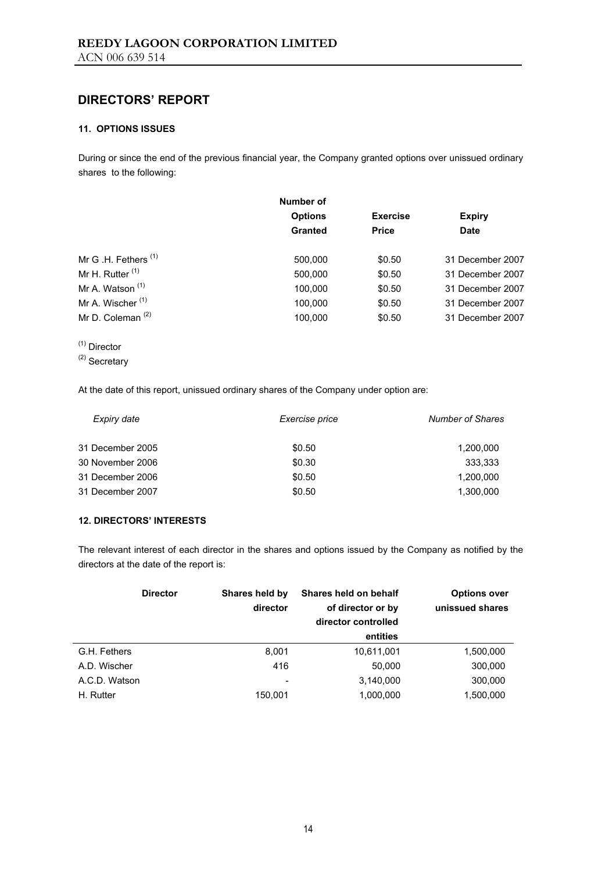## **11. OPTIONS ISSUES**

During or since the end of the previous financial year, the Company granted options over unissued ordinary shares to the following:

|                                 | Number of      |                 |                  |
|---------------------------------|----------------|-----------------|------------------|
|                                 | <b>Options</b> | <b>Exercise</b> | <b>Expiry</b>    |
|                                 | <b>Granted</b> | <b>Price</b>    | <b>Date</b>      |
| Mr G .H. Fethers <sup>(1)</sup> | 500,000        | \$0.50          | 31 December 2007 |
| Mr H. Rutter <sup>(1)</sup>     | 500,000        | \$0.50          | 31 December 2007 |
| Mr A. Watson <sup>(1)</sup>     | 100,000        | \$0.50          | 31 December 2007 |
| Mr A. Wischer <sup>(1)</sup>    | 100.000        | \$0.50          | 31 December 2007 |
| Mr D. Coleman $(2)$             | 100,000        | \$0.50          | 31 December 2007 |

<sup>(1)</sup> Director

At the date of this report, unissued ordinary shares of the Company under option are:

| Expiry date      | Exercise price | <b>Number of Shares</b> |  |
|------------------|----------------|-------------------------|--|
| 31 December 2005 | \$0.50         | 1,200,000               |  |
| 30 November 2006 | \$0.30         | 333.333                 |  |
| 31 December 2006 | \$0.50         | 1,200,000               |  |
| 31 December 2007 | \$0.50         | 1,300,000               |  |

# **12. DIRECTORS' INTERESTS**

The relevant interest of each director in the shares and options issued by the Company as notified by the directors at the date of the report is:

|               | <b>Director</b> | Shares held by<br>director | Shares held on behalf<br>of director or by<br>director controlled | <b>Options over</b><br>unissued shares |
|---------------|-----------------|----------------------------|-------------------------------------------------------------------|----------------------------------------|
|               |                 |                            | entities                                                          |                                        |
| G.H. Fethers  |                 | 8,001                      | 10,611,001                                                        | 1,500,000                              |
| A.D. Wischer  |                 | 416                        | 50,000                                                            | 300,000                                |
| A.C.D. Watson |                 |                            | 3,140,000                                                         | 300,000                                |
| H. Rutter     |                 | 150,001                    | 1,000,000                                                         | 1,500,000                              |

<sup>(2)</sup> Secretary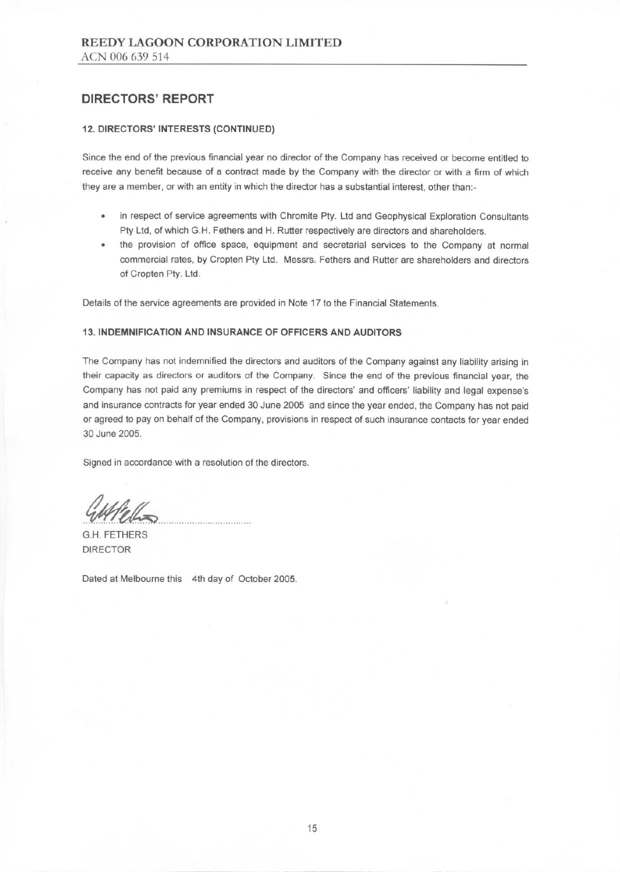#### 12. DIRECTORS' INTERESTS (CONTINUED)

Since the end of the previous financial year no director of the Company has received or become entitled to receive any benefit because of a contract made by the Company with the director or with a firm of which they are a member, or with an entity in which the director has a substantial interest, other than:-

- in respect of service agreements with Chromite Pty. Ltd and Geophysical Exploration Consultants  $\bullet$ Pty Ltd, of which G.H. Fethers and H. Rutter respectively are directors and shareholders.
- the provision of office space, equipment and secretarial services to the Company at normal commercial rates, by Cropten Pty Ltd. Messrs. Fethers and Rutter are shareholders and directors of Cropten Pty. Ltd.

Details of the service agreements are provided in Note 17 to the Financial Statements.

#### 13. INDEMNIFICATION AND INSURANCE OF OFFICERS AND AUDITORS

The Company has not indemnified the directors and auditors of the Company against any liability arising in their capacity as directors or auditors of the Company. Since the end of the previous financial year, the Company has not paid any premiums in respect of the directors' and officers' liability and legal expense's and insurance contracts for year ended 30 June 2005 and since the year ended, the Company has not paid or agreed to pay on behalf of the Company, provisions in respect of such insurance contacts for year ended 30 June 2005.

Signed in accordance with a resolution of the directors.

**G.H. FETHERS DIRECTOR** 

Dated at Melbourne this 4th day of October 2005.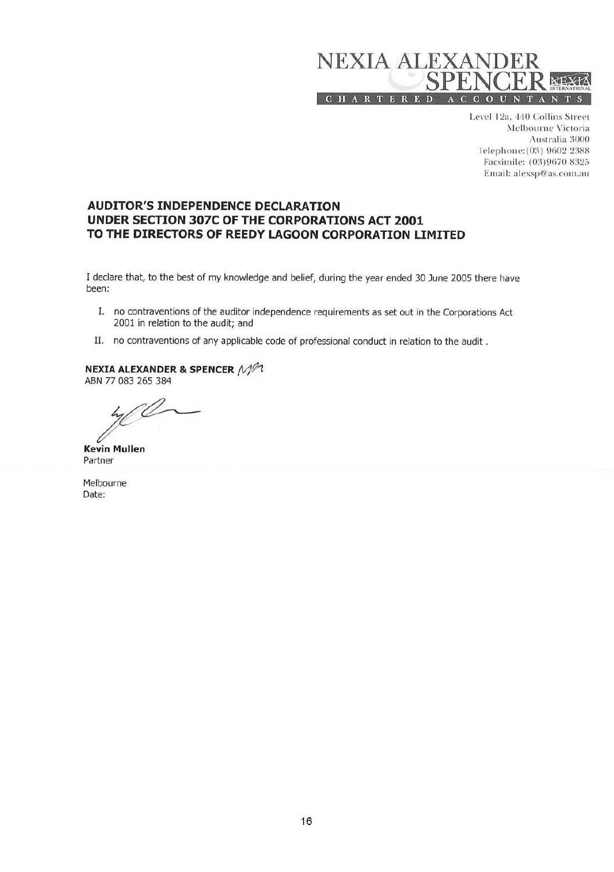

Level 12a, 440 Collins Street Melbourne Victoria Australia 3000 Telephone: (03) 9602 2388 Facsimile: (03)9670 8325 Email: alexsp@as.com.au

# **AUDITOR'S INDEPENDENCE DECLARATION** UNDER SECTION 307C OF THE CORPORATIONS ACT 2001 TO THE DIRECTORS OF REEDY LAGOON CORPORATION LIMITED

I declare that, to the best of my knowledge and belief, during the year ended 30 June 2005 there have been:

- I. no contraventions of the auditor independence requirements as set out in the Corporations Act 2001 in relation to the audit; and
- II. no contraventions of any applicable code of professional conduct in relation to the audit.

# **NEXIA ALEXANDER & SPENCER MM**

ABN 77 083 265 384

Û

**Kevin Mullen** Partner

Melbourne Date: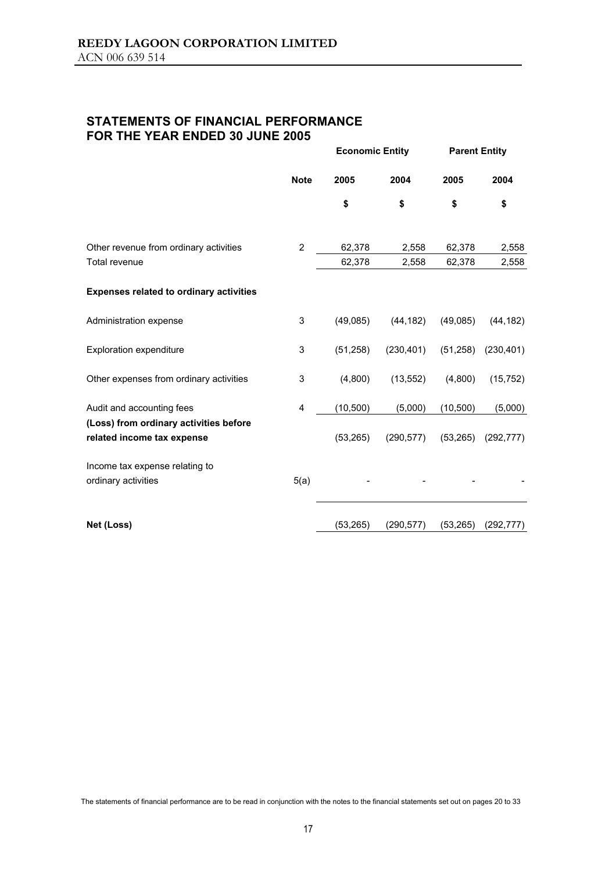# **STATEMENTS OF FINANCIAL PERFORMANCE FOR THE YEAR ENDED 30 JUNE 2005**

|                                                                      |                | <b>Economic Entity</b> |            | <b>Parent Entity</b> |            |
|----------------------------------------------------------------------|----------------|------------------------|------------|----------------------|------------|
|                                                                      | <b>Note</b>    | 2005                   | 2004       | 2005                 | 2004       |
|                                                                      |                | \$                     | \$         | \$                   | \$         |
| Other revenue from ordinary activities                               | $\overline{2}$ | 62,378                 | 2,558      | 62,378               | 2,558      |
| <b>Total revenue</b>                                                 |                | 62,378                 | 2,558      | 62,378               | 2,558      |
| Expenses related to ordinary activities                              |                |                        |            |                      |            |
| Administration expense                                               | 3              | (49,085)               | (44, 182)  | (49,085)             | (44, 182)  |
| <b>Exploration expenditure</b>                                       | 3              | (51, 258)              | (230, 401) | (51, 258)            | (230, 401) |
| Other expenses from ordinary activities                              | 3              | (4,800)                | (13, 552)  | (4,800)              | (15, 752)  |
| Audit and accounting fees                                            | 4              | (10, 500)              | (5,000)    | (10, 500)            | (5,000)    |
| (Loss) from ordinary activities before<br>related income tax expense |                | (53, 265)              | (290, 577) | (53, 265)            | (292, 777) |
| Income tax expense relating to<br>ordinary activities                | 5(a)           |                        |            |                      |            |
| Net (Loss)                                                           |                | (53, 265)              | (290, 577) | (53, 265)            | (292, 777) |

The statements of financial performance are to be read in conjunction with the notes to the financial statements set out on pages 20 to 33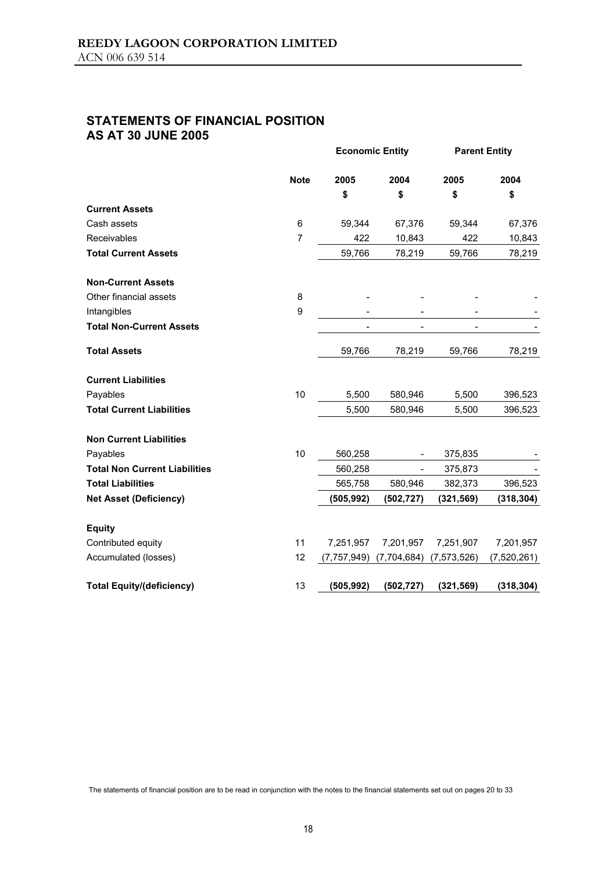# **STATEMENTS OF FINANCIAL POSITION AS AT 30 JUNE 2005**

|                                      |                |               | <b>Economic Entity</b>       |               | <b>Parent Entity</b> |
|--------------------------------------|----------------|---------------|------------------------------|---------------|----------------------|
|                                      | <b>Note</b>    | 2005          | 2004                         | 2005          | 2004                 |
|                                      |                | \$            | \$                           | \$            | \$                   |
| <b>Current Assets</b>                |                |               |                              |               |                      |
| Cash assets                          | 6              | 59,344        | 67,376                       | 59,344        | 67,376               |
| Receivables                          | $\overline{7}$ | 422           | 10,843                       | 422           | 10,843               |
| <b>Total Current Assets</b>          |                | 59,766        | 78,219                       | 59,766        | 78,219               |
| <b>Non-Current Assets</b>            |                |               |                              |               |                      |
| Other financial assets               | 8              |               |                              |               |                      |
| Intangibles                          | 9              |               |                              |               |                      |
| <b>Total Non-Current Assets</b>      |                | -             | $\qquad \qquad \blacksquare$ |               |                      |
| <b>Total Assets</b>                  |                | 59,766        | 78,219                       | 59,766        | 78,219               |
| <b>Current Liabilities</b>           |                |               |                              |               |                      |
| Payables                             | 10             | 5,500         | 580,946                      | 5,500         | 396,523              |
| <b>Total Current Liabilities</b>     |                | 5,500         | 580,946                      | 5,500         | 396,523              |
| <b>Non Current Liabilities</b>       |                |               |                              |               |                      |
| Payables                             | 10             | 560,258       |                              | 375,835       |                      |
| <b>Total Non Current Liabilities</b> |                | 560,258       |                              | 375,873       |                      |
| <b>Total Liabilities</b>             |                | 565,758       | 580,946                      | 382,373       | 396,523              |
| <b>Net Asset (Deficiency)</b>        |                | (505, 992)    | (502, 727)                   | (321, 569)    | (318, 304)           |
| <b>Equity</b>                        |                |               |                              |               |                      |
| Contributed equity                   | 11             | 7,251,957     | 7,201,957                    | 7,251,907     | 7,201,957            |
| Accumulated (losses)                 | 12             | (7, 757, 949) | (7,704,684)                  | (7, 573, 526) | (7,520,261)          |
| <b>Total Equity/(deficiency)</b>     | 13             | (505, 992)    | (502, 727)                   | (321, 569)    | (318, 304)           |

The statements of financial position are to be read in conjunction with the notes to the financial statements set out on pages 20 to 33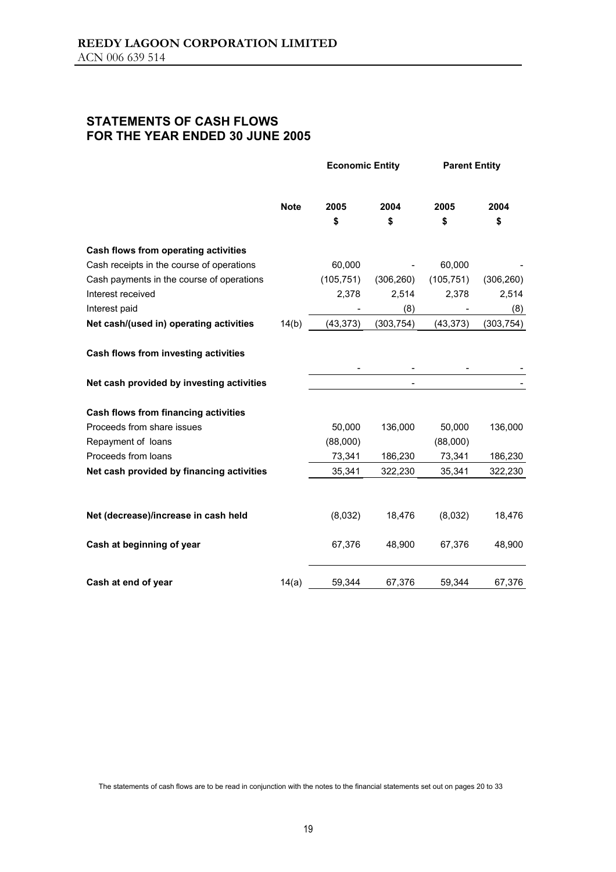# **STATEMENTS OF CASH FLOWS FOR THE YEAR ENDED 30 JUNE 2005**

|                                           | <b>Note</b> | <b>Economic Entity</b> |            | <b>Parent Entity</b> |            |
|-------------------------------------------|-------------|------------------------|------------|----------------------|------------|
|                                           |             | 2005                   | 2004       | 2005                 | 2004       |
|                                           |             | \$                     | \$         | \$                   | \$         |
| Cash flows from operating activities      |             |                        |            |                      |            |
| Cash receipts in the course of operations |             | 60,000                 |            | 60,000               |            |
| Cash payments in the course of operations |             | (105, 751)             | (306, 260) | (105, 751)           | (306, 260) |
| Interest received                         |             | 2,378                  | 2,514      | 2,378                | 2,514      |
| Interest paid                             |             |                        | (8)        |                      | (8)        |
| Net cash/(used in) operating activities   | 14(b)       | (43, 373)              | (303, 754) | (43, 373)            | (303, 754) |
| Cash flows from investing activities      |             |                        |            |                      |            |
| Net cash provided by investing activities |             |                        |            |                      |            |
| Cash flows from financing activities      |             |                        |            |                      |            |
| Proceeds from share issues                |             | 50,000                 | 136,000    | 50,000               | 136,000    |
| Repayment of loans                        |             | (88,000)               |            | (88,000)             |            |
| Proceeds from loans                       |             | 73,341                 | 186,230    | 73,341               | 186,230    |
| Net cash provided by financing activities |             | 35,341                 | 322,230    | 35,341               | 322,230    |
|                                           |             |                        |            |                      |            |
| Net (decrease)/increase in cash held      |             | (8,032)                | 18,476     | (8,032)              | 18,476     |
| Cash at beginning of year                 |             | 67,376                 | 48,900     | 67,376               | 48,900     |
| Cash at end of year                       | 14(a)       | 59,344                 | 67,376     | 59,344               | 67,376     |

The statements of cash flows are to be read in conjunction with the notes to the financial statements set out on pages 20 to 33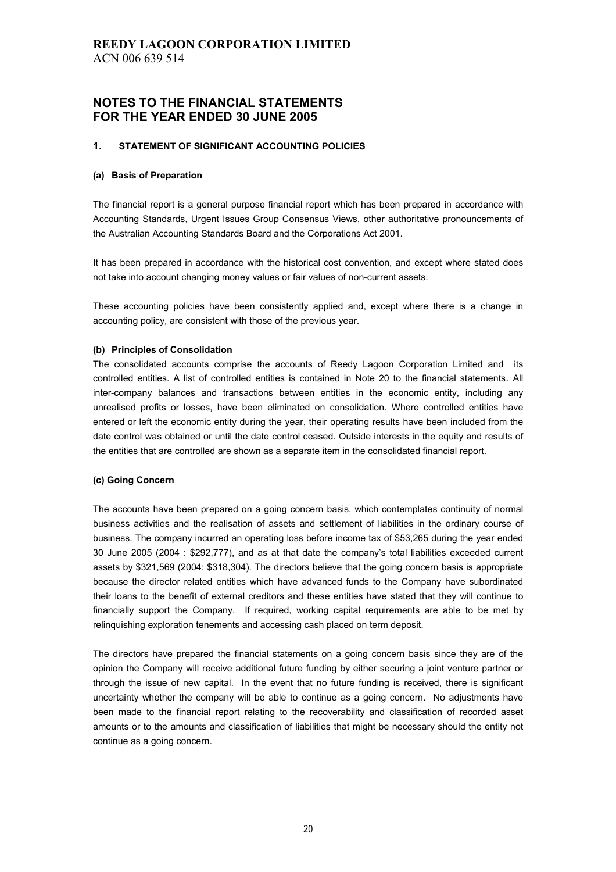#### **1. STATEMENT OF SIGNIFICANT ACCOUNTING POLICIES**

#### **(a) Basis of Preparation**

The financial report is a general purpose financial report which has been prepared in accordance with Accounting Standards, Urgent Issues Group Consensus Views, other authoritative pronouncements of the Australian Accounting Standards Board and the Corporations Act 2001.

It has been prepared in accordance with the historical cost convention, and except where stated does not take into account changing money values or fair values of non-current assets.

These accounting policies have been consistently applied and, except where there is a change in accounting policy, are consistent with those of the previous year.

#### **(b) Principles of Consolidation**

The consolidated accounts comprise the accounts of Reedy Lagoon Corporation Limited and its controlled entities. A list of controlled entities is contained in Note 20 to the financial statements. All inter-company balances and transactions between entities in the economic entity, including any unrealised profits or losses, have been eliminated on consolidation. Where controlled entities have entered or left the economic entity during the year, their operating results have been included from the date control was obtained or until the date control ceased. Outside interests in the equity and results of the entities that are controlled are shown as a separate item in the consolidated financial report.

### **(c) Going Concern**

The accounts have been prepared on a going concern basis, which contemplates continuity of normal business activities and the realisation of assets and settlement of liabilities in the ordinary course of business. The company incurred an operating loss before income tax of \$53,265 during the year ended 30 June 2005 (2004 : \$292,777), and as at that date the company's total liabilities exceeded current assets by \$321,569 (2004: \$318,304). The directors believe that the going concern basis is appropriate because the director related entities which have advanced funds to the Company have subordinated their loans to the benefit of external creditors and these entities have stated that they will continue to financially support the Company. If required, working capital requirements are able to be met by relinquishing exploration tenements and accessing cash placed on term deposit.

The directors have prepared the financial statements on a going concern basis since they are of the opinion the Company will receive additional future funding by either securing a joint venture partner or through the issue of new capital. In the event that no future funding is received, there is significant uncertainty whether the company will be able to continue as a going concern. No adjustments have been made to the financial report relating to the recoverability and classification of recorded asset amounts or to the amounts and classification of liabilities that might be necessary should the entity not continue as a going concern.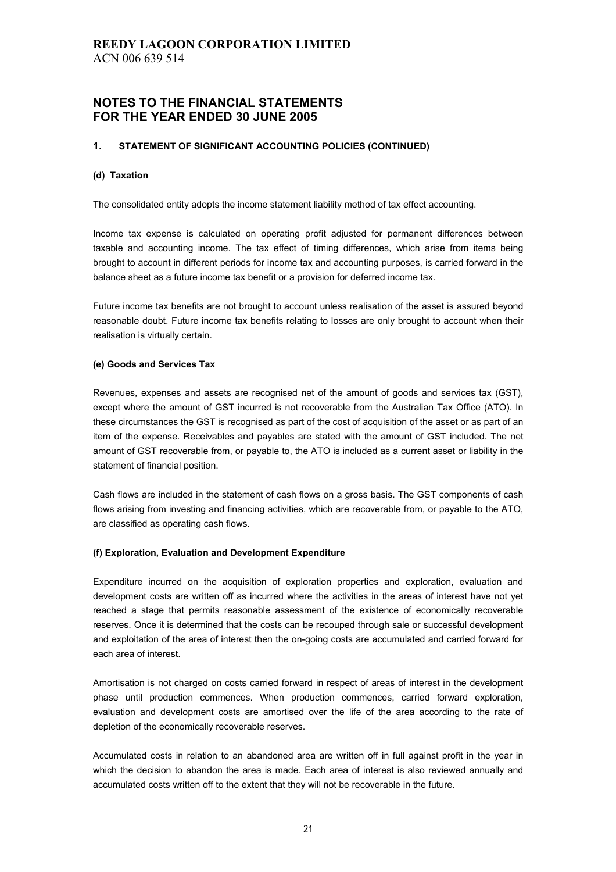#### **1. STATEMENT OF SIGNIFICANT ACCOUNTING POLICIES (CONTINUED)**

### **(d) Taxation**

The consolidated entity adopts the income statement liability method of tax effect accounting.

Income tax expense is calculated on operating profit adjusted for permanent differences between taxable and accounting income. The tax effect of timing differences, which arise from items being brought to account in different periods for income tax and accounting purposes, is carried forward in the balance sheet as a future income tax benefit or a provision for deferred income tax.

Future income tax benefits are not brought to account unless realisation of the asset is assured beyond reasonable doubt. Future income tax benefits relating to losses are only brought to account when their realisation is virtually certain.

#### **(e) Goods and Services Tax**

Revenues, expenses and assets are recognised net of the amount of goods and services tax (GST), except where the amount of GST incurred is not recoverable from the Australian Tax Office (ATO). In these circumstances the GST is recognised as part of the cost of acquisition of the asset or as part of an item of the expense. Receivables and payables are stated with the amount of GST included. The net amount of GST recoverable from, or payable to, the ATO is included as a current asset or liability in the statement of financial position.

Cash flows are included in the statement of cash flows on a gross basis. The GST components of cash flows arising from investing and financing activities, which are recoverable from, or payable to the ATO, are classified as operating cash flows.

### **(f) Exploration, Evaluation and Development Expenditure**

Expenditure incurred on the acquisition of exploration properties and exploration, evaluation and development costs are written off as incurred where the activities in the areas of interest have not yet reached a stage that permits reasonable assessment of the existence of economically recoverable reserves. Once it is determined that the costs can be recouped through sale or successful development and exploitation of the area of interest then the on-going costs are accumulated and carried forward for each area of interest.

Amortisation is not charged on costs carried forward in respect of areas of interest in the development phase until production commences. When production commences, carried forward exploration, evaluation and development costs are amortised over the life of the area according to the rate of depletion of the economically recoverable reserves.

Accumulated costs in relation to an abandoned area are written off in full against profit in the year in which the decision to abandon the area is made. Each area of interest is also reviewed annually and accumulated costs written off to the extent that they will not be recoverable in the future.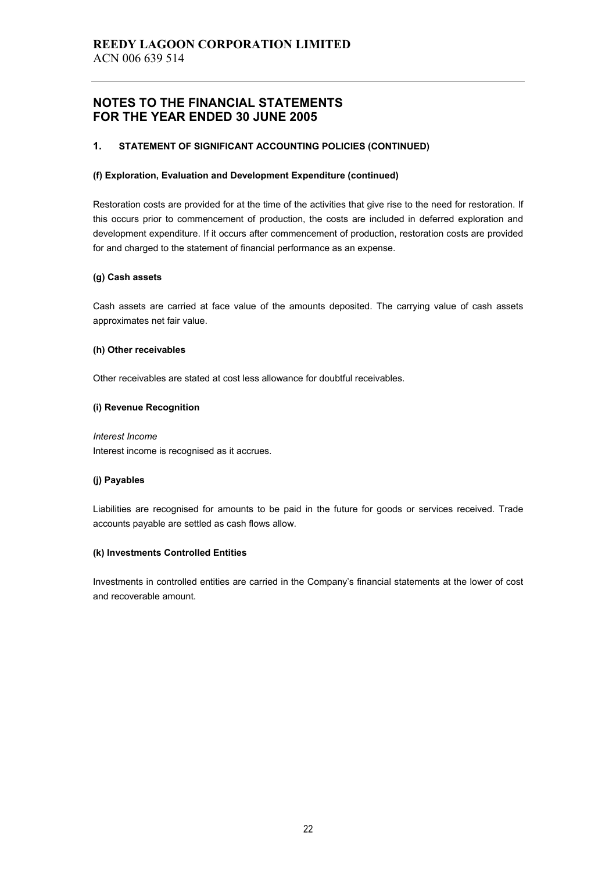# **1. STATEMENT OF SIGNIFICANT ACCOUNTING POLICIES (CONTINUED)**

### **(f) Exploration, Evaluation and Development Expenditure (continued)**

Restoration costs are provided for at the time of the activities that give rise to the need for restoration. If this occurs prior to commencement of production, the costs are included in deferred exploration and development expenditure. If it occurs after commencement of production, restoration costs are provided for and charged to the statement of financial performance as an expense.

#### **(g) Cash assets**

Cash assets are carried at face value of the amounts deposited. The carrying value of cash assets approximates net fair value.

#### **(h) Other receivables**

Other receivables are stated at cost less allowance for doubtful receivables.

### **(i) Revenue Recognition**

*Interest Income*  Interest income is recognised as it accrues.

#### **(j) Payables**

Liabilities are recognised for amounts to be paid in the future for goods or services received. Trade accounts payable are settled as cash flows allow.

#### **(k) Investments Controlled Entities**

Investments in controlled entities are carried in the Company's financial statements at the lower of cost and recoverable amount.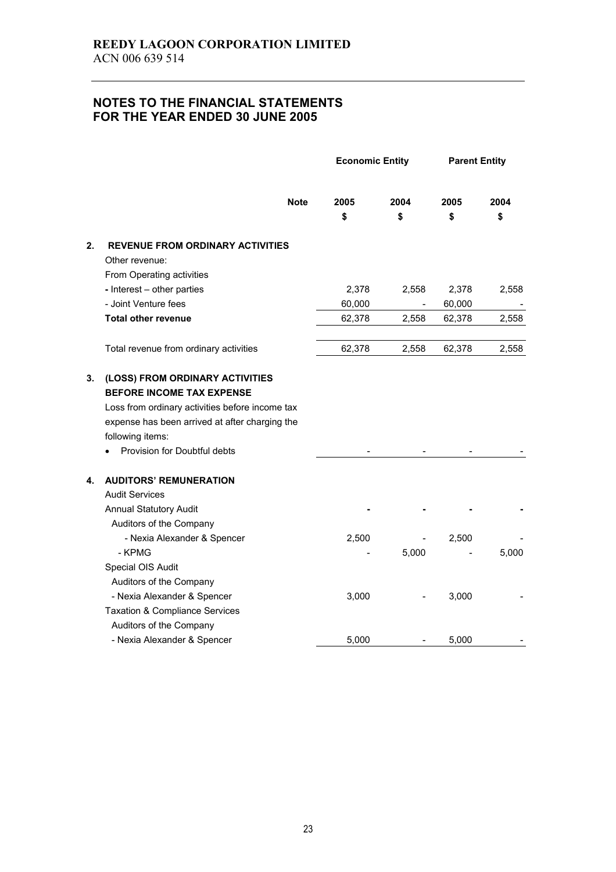|    |                                                                                                                                                                                                                              |            | <b>Economic Entity</b> |            | <b>Parent Entity</b> |  |
|----|------------------------------------------------------------------------------------------------------------------------------------------------------------------------------------------------------------------------------|------------|------------------------|------------|----------------------|--|
|    | <b>Note</b>                                                                                                                                                                                                                  | 2005<br>\$ | 2004<br>\$             | 2005<br>\$ | 2004<br>\$           |  |
|    |                                                                                                                                                                                                                              |            |                        |            |                      |  |
| 2. | <b>REVENUE FROM ORDINARY ACTIVITIES</b><br>Other revenue:                                                                                                                                                                    |            |                        |            |                      |  |
|    | From Operating activities                                                                                                                                                                                                    |            |                        |            |                      |  |
|    | - Interest - other parties                                                                                                                                                                                                   | 2,378      | 2,558                  | 2,378      | 2,558                |  |
|    | - Joint Venture fees                                                                                                                                                                                                         | 60,000     |                        | 60,000     |                      |  |
|    | <b>Total other revenue</b>                                                                                                                                                                                                   | 62,378     | 2,558                  | 62,378     | 2,558                |  |
|    | Total revenue from ordinary activities                                                                                                                                                                                       | 62,378     | 2,558                  | 62,378     | 2,558                |  |
| 3. | (LOSS) FROM ORDINARY ACTIVITIES<br><b>BEFORE INCOME TAX EXPENSE</b><br>Loss from ordinary activities before income tax<br>expense has been arrived at after charging the<br>following items:<br>Provision for Doubtful debts |            |                        |            |                      |  |
| 4. | <b>AUDITORS' REMUNERATION</b>                                                                                                                                                                                                |            |                        |            |                      |  |
|    | <b>Audit Services</b>                                                                                                                                                                                                        |            |                        |            |                      |  |
|    | <b>Annual Statutory Audit</b>                                                                                                                                                                                                |            |                        |            |                      |  |
|    | Auditors of the Company                                                                                                                                                                                                      |            |                        |            |                      |  |
|    | - Nexia Alexander & Spencer                                                                                                                                                                                                  | 2,500      |                        | 2,500      |                      |  |
|    | - KPMG                                                                                                                                                                                                                       |            | 5,000                  |            | 5,000                |  |
|    | Special OIS Audit                                                                                                                                                                                                            |            |                        |            |                      |  |
|    | Auditors of the Company<br>- Nexia Alexander & Spencer                                                                                                                                                                       | 3,000      |                        | 3,000      |                      |  |
|    | <b>Taxation &amp; Compliance Services</b>                                                                                                                                                                                    |            |                        |            |                      |  |
|    | Auditors of the Company                                                                                                                                                                                                      |            |                        |            |                      |  |
|    | - Nexia Alexander & Spencer                                                                                                                                                                                                  | 5,000      |                        | 5,000      |                      |  |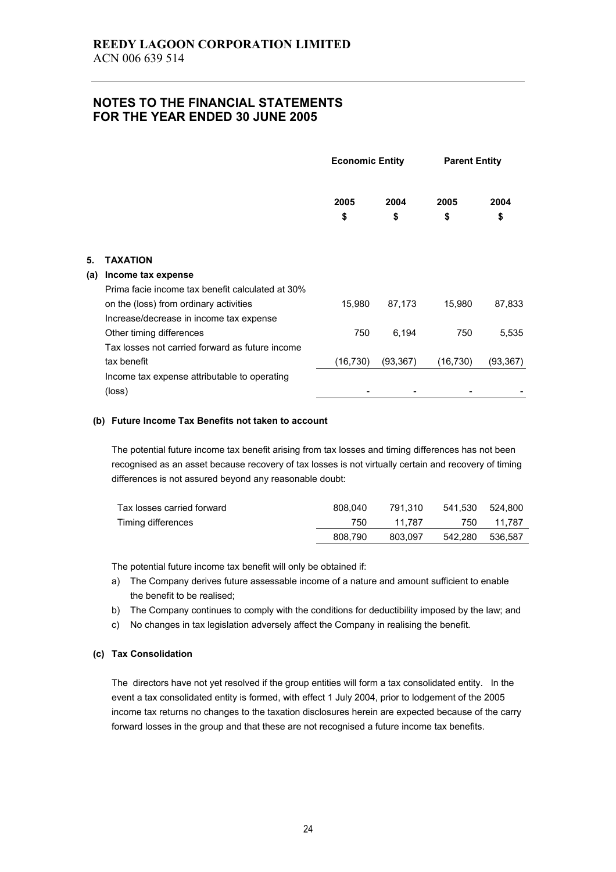|     |                                                                             | <b>Economic Entity</b> |            | <b>Parent Entity</b> |            |
|-----|-----------------------------------------------------------------------------|------------------------|------------|----------------------|------------|
|     |                                                                             | 2005<br>\$             | 2004<br>\$ | 2005<br>\$           | 2004<br>\$ |
| 5.  | TAXATION                                                                    |                        |            |                      |            |
| (a) | Income tax expense                                                          |                        |            |                      |            |
|     | Prima facie income tax benefit calculated at 30%                            |                        |            |                      |            |
|     | on the (loss) from ordinary activities                                      | 15,980                 | 87,173     | 15,980               | 87,833     |
|     | Increase/decrease in income tax expense                                     | 750                    | 6,194      | 750                  | 5,535      |
|     | Other timing differences<br>Tax losses not carried forward as future income |                        |            |                      |            |
|     | tax benefit                                                                 | (16,730)               | (93, 367)  | (16, 730)            | (93, 367)  |
|     | Income tax expense attributable to operating                                |                        |            |                      |            |
|     | (loss)                                                                      |                        |            |                      |            |

#### **(b) Future Income Tax Benefits not taken to account**

The potential future income tax benefit arising from tax losses and timing differences has not been recognised as an asset because recovery of tax losses is not virtually certain and recovery of timing differences is not assured beyond any reasonable doubt:

| Tax losses carried forward | 808.040 | 791.310 | 541.530 524.800 |        |
|----------------------------|---------|---------|-----------------|--------|
| Timing differences         | 750     | 11.787  | 750.            | 11.787 |
|                            | 808.790 | 803.097 | 542.280 536.587 |        |

The potential future income tax benefit will only be obtained if:

- a) The Company derives future assessable income of a nature and amount sufficient to enable the benefit to be realised;
- b) The Company continues to comply with the conditions for deductibility imposed by the law; and
- c) No changes in tax legislation adversely affect the Company in realising the benefit.

### **(c) Tax Consolidation**

The directors have not yet resolved if the group entities will form a tax consolidated entity. In the event a tax consolidated entity is formed, with effect 1 July 2004, prior to lodgement of the 2005 income tax returns no changes to the taxation disclosures herein are expected because of the carry forward losses in the group and that these are not recognised a future income tax benefits.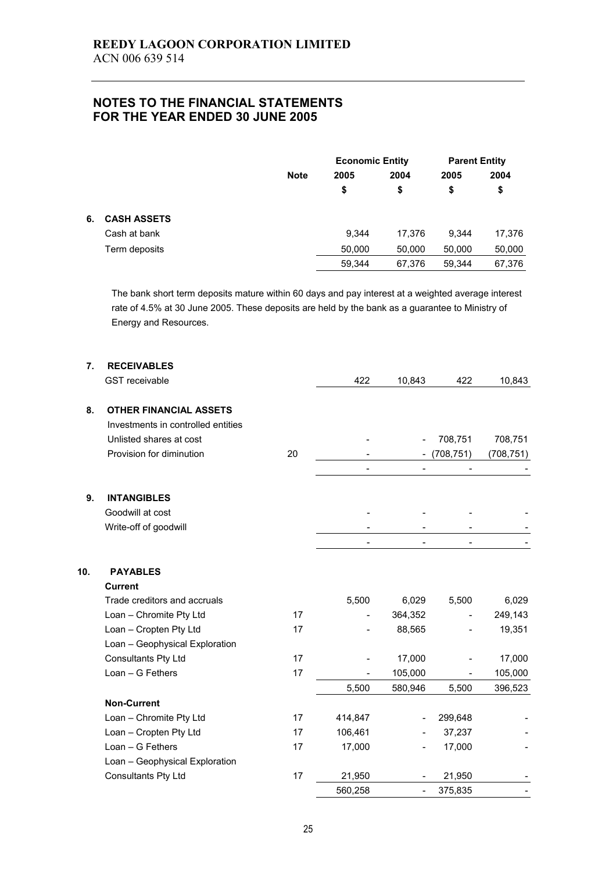|    |                    |             | <b>Economic Entity</b> |            | <b>Parent Entity</b> |            |
|----|--------------------|-------------|------------------------|------------|----------------------|------------|
|    |                    | <b>Note</b> | 2005<br>\$             | 2004<br>\$ | 2005<br>\$           | 2004<br>\$ |
| 6. | <b>CASH ASSETS</b> |             |                        |            |                      |            |
|    | Cash at bank       |             | 9,344                  | 17.376     | 9.344                | 17,376     |
|    | Term deposits      |             | 50,000                 | 50,000     | 50,000               | 50,000     |
|    |                    |             | 59.344                 | 67.376     | 59.344               | 67,376     |

The bank short term deposits mature within 60 days and pay interest at a weighted average interest rate of 4.5% at 30 June 2005. These deposits are held by the bank as a guarantee to Ministry of Energy and Resources.

| 7.  | <b>RECEIVABLES</b>                 |    |         |                          |                |            |
|-----|------------------------------------|----|---------|--------------------------|----------------|------------|
|     | <b>GST</b> receivable              |    | 422     | 10,843                   | 422            | 10,843     |
| 8.  | <b>OTHER FINANCIAL ASSETS</b>      |    |         |                          |                |            |
|     | Investments in controlled entities |    |         |                          |                |            |
|     | Unlisted shares at cost            |    |         |                          | 708,751        | 708,751    |
|     | Provision for diminution           | 20 |         |                          | (708, 751)     | (708, 751) |
|     |                                    |    |         | $\overline{\phantom{0}}$ | $\overline{a}$ |            |
| 9.  | <b>INTANGIBLES</b>                 |    |         |                          |                |            |
|     | Goodwill at cost                   |    |         |                          |                |            |
|     | Write-off of goodwill              |    |         |                          |                |            |
|     |                                    |    |         |                          |                |            |
| 10. | <b>PAYABLES</b>                    |    |         |                          |                |            |
|     | <b>Current</b>                     |    |         |                          |                |            |
|     | Trade creditors and accruals       |    | 5,500   | 6,029                    | 5,500          | 6,029      |
|     | Loan - Chromite Pty Ltd            | 17 |         | 364,352                  |                | 249,143    |
|     | Loan - Cropten Pty Ltd             | 17 |         | 88,565                   |                | 19,351     |
|     | Loan - Geophysical Exploration     |    |         |                          |                |            |
|     | Consultants Pty Ltd                | 17 |         | 17,000                   |                | 17,000     |
|     | Loan - G Fethers                   | 17 |         | 105,000                  |                | 105,000    |
|     |                                    |    | 5,500   | 580,946                  | 5,500          | 396,523    |
|     | <b>Non-Current</b>                 |    |         |                          |                |            |
|     | Loan - Chromite Pty Ltd            | 17 | 414,847 |                          | 299,648        |            |
|     | Loan - Cropten Pty Ltd             | 17 | 106,461 |                          | 37,237         |            |
|     | Loan - G Fethers                   | 17 | 17,000  |                          | 17,000         |            |
|     | Loan - Geophysical Exploration     |    |         |                          |                |            |
|     | Consultants Pty Ltd                | 17 | 21,950  |                          | 21,950         |            |
|     |                                    |    | 560,258 | -                        | 375,835        |            |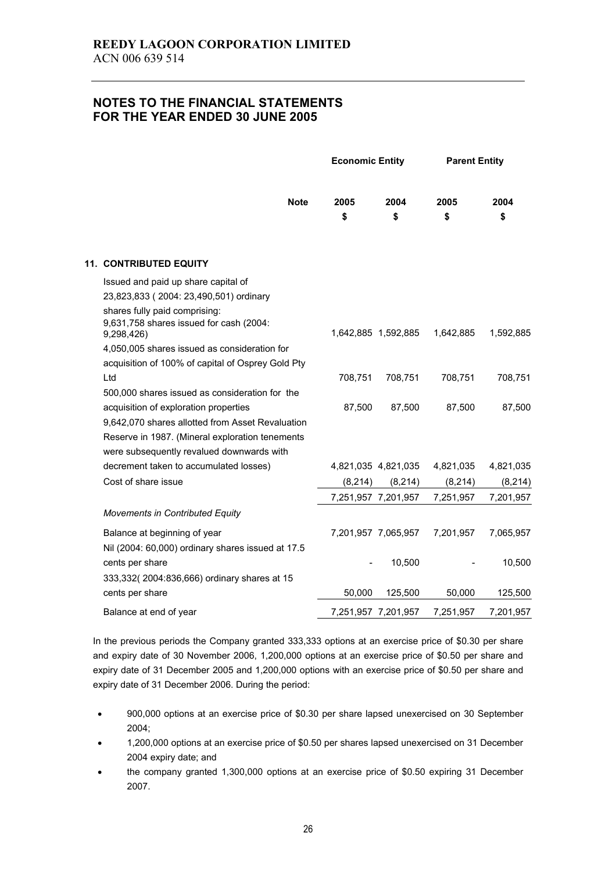|                                                                                                                                                                                                                                             | <b>Economic Entity</b> |                     | <b>Parent Entity</b> |           |
|---------------------------------------------------------------------------------------------------------------------------------------------------------------------------------------------------------------------------------------------|------------------------|---------------------|----------------------|-----------|
| <b>Note</b>                                                                                                                                                                                                                                 | 2005                   | 2004                | 2005                 | 2004      |
|                                                                                                                                                                                                                                             | \$                     | \$                  | \$                   | \$        |
| 11. CONTRIBUTED EQUITY                                                                                                                                                                                                                      |                        |                     |                      |           |
| Issued and paid up share capital of<br>23,823,833 (2004: 23,490,501) ordinary<br>shares fully paid comprising:<br>9,631,758 shares issued for cash (2004:<br>9,298,426)                                                                     |                        | 1,642,885 1,592,885 | 1,642,885            | 1,592,885 |
| 4,050,005 shares issued as consideration for<br>acquisition of 100% of capital of Osprey Gold Pty                                                                                                                                           |                        |                     |                      |           |
| Ltd                                                                                                                                                                                                                                         | 708,751                | 708,751             | 708,751              | 708,751   |
| 500,000 shares issued as consideration for the<br>acquisition of exploration properties<br>9,642,070 shares allotted from Asset Revaluation<br>Reserve in 1987. (Mineral exploration tenements<br>were subsequently revalued downwards with | 87,500                 | 87,500              | 87,500               | 87,500    |
| decrement taken to accumulated losses)                                                                                                                                                                                                      |                        | 4,821,035 4,821,035 | 4,821,035            | 4,821,035 |
| Cost of share issue                                                                                                                                                                                                                         | (8, 214)               | (8, 214)            | (8, 214)             | (8, 214)  |
|                                                                                                                                                                                                                                             |                        | 7,251,957 7,201,957 | 7,251,957            | 7,201,957 |
| <b>Movements in Contributed Equity</b>                                                                                                                                                                                                      |                        |                     |                      |           |
| Balance at beginning of year<br>Nil (2004: 60,000) ordinary shares issued at 17.5                                                                                                                                                           |                        | 7,201,957 7,065,957 | 7,201,957            | 7,065,957 |
| cents per share<br>333,332(2004:836,666) ordinary shares at 15                                                                                                                                                                              |                        | 10,500              |                      | 10,500    |
| cents per share                                                                                                                                                                                                                             | 50,000                 | 125,500             | 50,000               | 125,500   |
| Balance at end of year                                                                                                                                                                                                                      |                        | 7,251,957 7,201,957 | 7,251,957            | 7,201,957 |

In the previous periods the Company granted 333,333 options at an exercise price of \$0.30 per share and expiry date of 30 November 2006, 1,200,000 options at an exercise price of \$0.50 per share and expiry date of 31 December 2005 and 1,200,000 options with an exercise price of \$0.50 per share and expiry date of 31 December 2006. During the period:

- 900,000 options at an exercise price of \$0.30 per share lapsed unexercised on 30 September 2004;
- 1,200,000 options at an exercise price of \$0.50 per shares lapsed unexercised on 31 December 2004 expiry date; and
- the company granted 1,300,000 options at an exercise price of \$0.50 expiring 31 December 2007.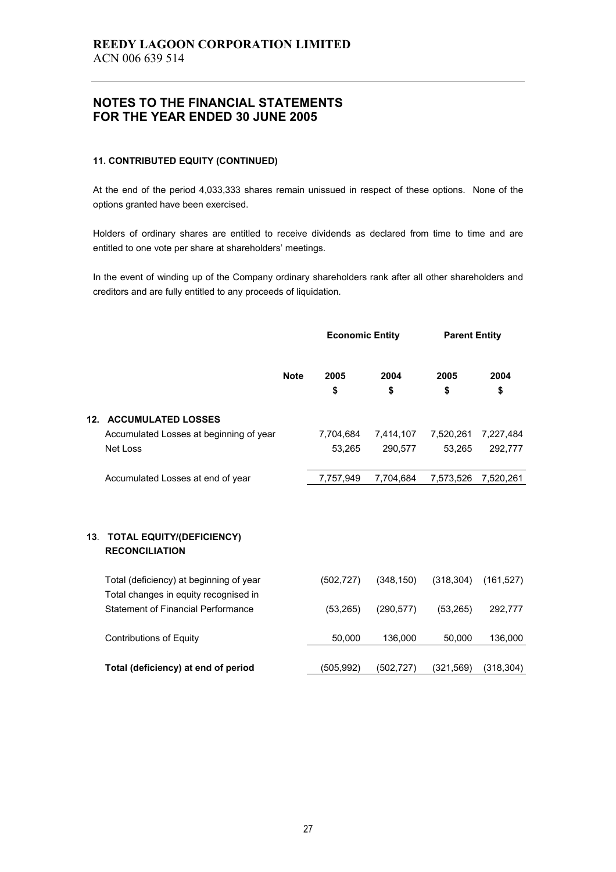### **11. CONTRIBUTED EQUITY (CONTINUED)**

At the end of the period 4,033,333 shares remain unissued in respect of these options. None of the options granted have been exercised.

Holders of ordinary shares are entitled to receive dividends as declared from time to time and are entitled to one vote per share at shareholders' meetings.

In the event of winding up of the Company ordinary shareholders rank after all other shareholders and creditors and are fully entitled to any proceeds of liquidation.

|     |                                           |             | <b>Economic Entity</b> |            | <b>Parent Entity</b> |            |
|-----|-------------------------------------------|-------------|------------------------|------------|----------------------|------------|
|     |                                           | <b>Note</b> | 2005                   | 2004       | 2005                 | 2004       |
|     |                                           |             | \$                     | \$         | \$                   | \$         |
| 12. | <b>ACCUMULATED LOSSES</b>                 |             |                        |            |                      |            |
|     | Accumulated Losses at beginning of year   |             | 7,704,684              | 7,414,107  | 7,520,261            | 7,227,484  |
|     | Net Loss                                  |             | 53,265                 | 290,577    | 53,265               | 292,777    |
|     |                                           |             |                        |            |                      |            |
|     | Accumulated Losses at end of year         |             | 7,757,949              | 7,704,684  | 7,573,526            | 7,520,261  |
|     |                                           |             |                        |            |                      |            |
|     |                                           |             |                        |            |                      |            |
| 13. | <b>TOTAL EQUITY/(DEFICIENCY)</b>          |             |                        |            |                      |            |
|     | <b>RECONCILIATION</b>                     |             |                        |            |                      |            |
|     | Total (deficiency) at beginning of year   |             | (502, 727)             | (348, 150) | (318, 304)           | (161, 527) |
|     | Total changes in equity recognised in     |             |                        |            |                      |            |
|     | <b>Statement of Financial Performance</b> |             | (53, 265)              | (290, 577) | (53, 265)            | 292,777    |
|     |                                           |             |                        |            |                      |            |
|     | <b>Contributions of Equity</b>            |             | 50,000                 | 136,000    | 50,000               | 136,000    |
|     |                                           |             |                        |            |                      |            |
|     | Total (deficiency) at end of period       |             | (505, 992)             | (502,727)  | (321, 569)           | (318,304)  |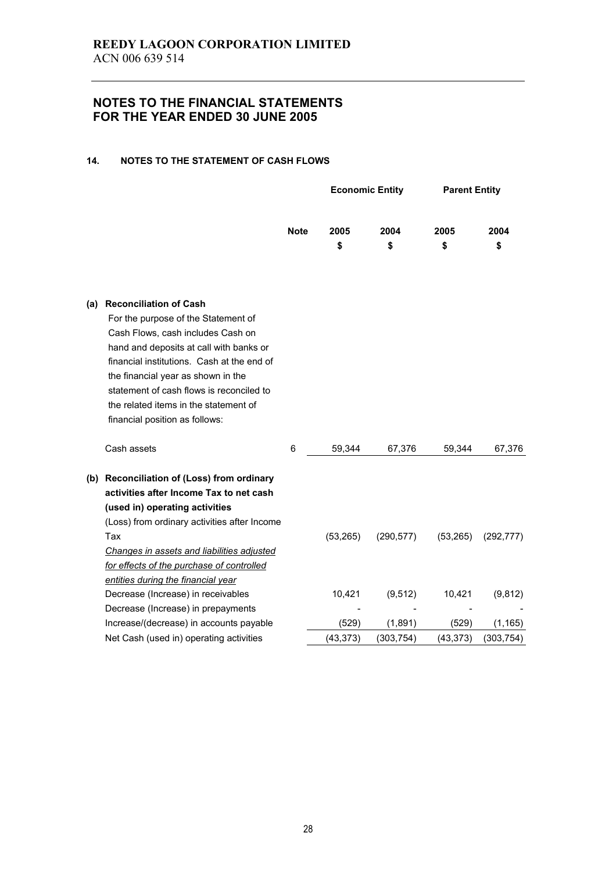## **14. NOTES TO THE STATEMENT OF CASH FLOWS**

|     |                                                                                                                                                                                                                                                                                                                                                                 |             | <b>Economic Entity</b> |            | <b>Parent Entity</b> |            |
|-----|-----------------------------------------------------------------------------------------------------------------------------------------------------------------------------------------------------------------------------------------------------------------------------------------------------------------------------------------------------------------|-------------|------------------------|------------|----------------------|------------|
|     |                                                                                                                                                                                                                                                                                                                                                                 | <b>Note</b> | 2005                   | 2004       | 2005                 | 2004       |
|     |                                                                                                                                                                                                                                                                                                                                                                 |             | \$                     | \$         | \$                   | \$         |
|     |                                                                                                                                                                                                                                                                                                                                                                 |             |                        |            |                      |            |
| (a) | <b>Reconciliation of Cash</b><br>For the purpose of the Statement of<br>Cash Flows, cash includes Cash on<br>hand and deposits at call with banks or<br>financial institutions. Cash at the end of<br>the financial year as shown in the<br>statement of cash flows is reconciled to<br>the related items in the statement of<br>financial position as follows: |             |                        |            |                      |            |
|     | Cash assets                                                                                                                                                                                                                                                                                                                                                     | 6           | 59,344                 | 67,376     | 59,344               | 67,376     |
|     | (b) Reconciliation of (Loss) from ordinary<br>activities after Income Tax to net cash<br>(used in) operating activities<br>(Loss) from ordinary activities after Income                                                                                                                                                                                         |             |                        |            |                      |            |
|     | Tax<br>Changes in assets and liabilities adjusted<br>for effects of the purchase of controlled<br>entities during the financial year                                                                                                                                                                                                                            |             | (53, 265)              | (290, 577) | (53, 265)            | (292, 777) |
|     | Decrease (Increase) in receivables<br>Decrease (Increase) in prepayments                                                                                                                                                                                                                                                                                        |             | 10,421                 | (9, 512)   | 10,421               | (9, 812)   |
|     | Increase/(decrease) in accounts payable                                                                                                                                                                                                                                                                                                                         |             | (529)                  | (1,891)    | (529)                | (1, 165)   |
|     | Net Cash (used in) operating activities                                                                                                                                                                                                                                                                                                                         |             | (43, 373)              | (303, 754) | (43, 373)            | (303, 754) |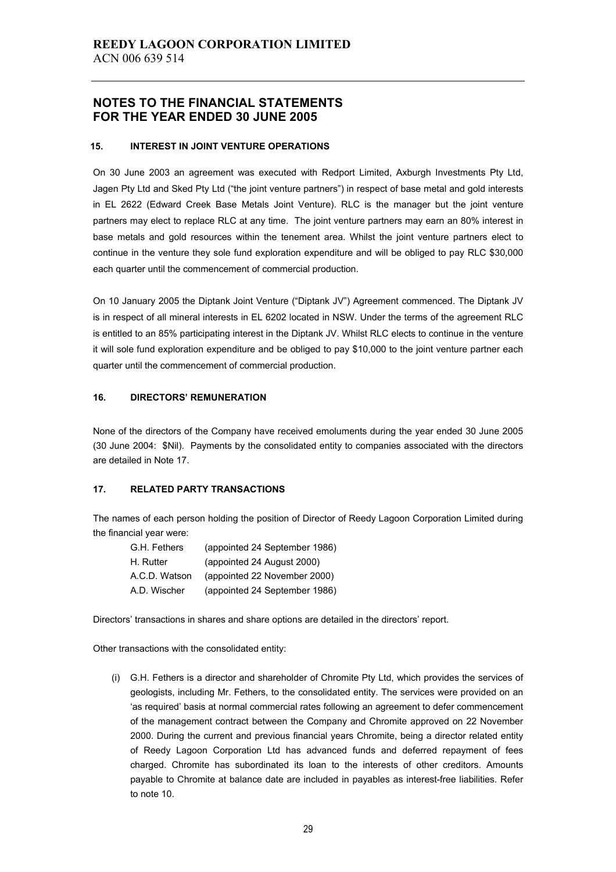### **15. INTEREST IN JOINT VENTURE OPERATIONS**

On 30 June 2003 an agreement was executed with Redport Limited, Axburgh Investments Pty Ltd, Jagen Pty Ltd and Sked Pty Ltd ("the joint venture partners") in respect of base metal and gold interests in EL 2622 (Edward Creek Base Metals Joint Venture). RLC is the manager but the joint venture partners may elect to replace RLC at any time. The joint venture partners may earn an 80% interest in base metals and gold resources within the tenement area. Whilst the joint venture partners elect to continue in the venture they sole fund exploration expenditure and will be obliged to pay RLC \$30,000 each quarter until the commencement of commercial production.

On 10 January 2005 the Diptank Joint Venture ("Diptank JV") Agreement commenced. The Diptank JV is in respect of all mineral interests in EL 6202 located in NSW. Under the terms of the agreement RLC is entitled to an 85% participating interest in the Diptank JV. Whilst RLC elects to continue in the venture it will sole fund exploration expenditure and be obliged to pay \$10,000 to the joint venture partner each quarter until the commencement of commercial production.

# **16. DIRECTORS' REMUNERATION**

None of the directors of the Company have received emoluments during the year ended 30 June 2005 (30 June 2004: \$Nil). Payments by the consolidated entity to companies associated with the directors are detailed in Note 17.

# **17. RELATED PARTY TRANSACTIONS**

The names of each person holding the position of Director of Reedy Lagoon Corporation Limited during the financial year were:

| G.H. Fethers  | (appointed 24 September 1986) |
|---------------|-------------------------------|
| H. Rutter     | (appointed 24 August 2000)    |
| A.C.D. Watson | (appointed 22 November 2000)  |
| A.D. Wischer  | (appointed 24 September 1986) |

Directors' transactions in shares and share options are detailed in the directors' report.

Other transactions with the consolidated entity:

(i) G.H. Fethers is a director and shareholder of Chromite Pty Ltd, which provides the services of geologists, including Mr. Fethers, to the consolidated entity. The services were provided on an 'as required' basis at normal commercial rates following an agreement to defer commencement of the management contract between the Company and Chromite approved on 22 November 2000. During the current and previous financial years Chromite, being a director related entity of Reedy Lagoon Corporation Ltd has advanced funds and deferred repayment of fees charged. Chromite has subordinated its loan to the interests of other creditors. Amounts payable to Chromite at balance date are included in payables as interest-free liabilities. Refer to note 10.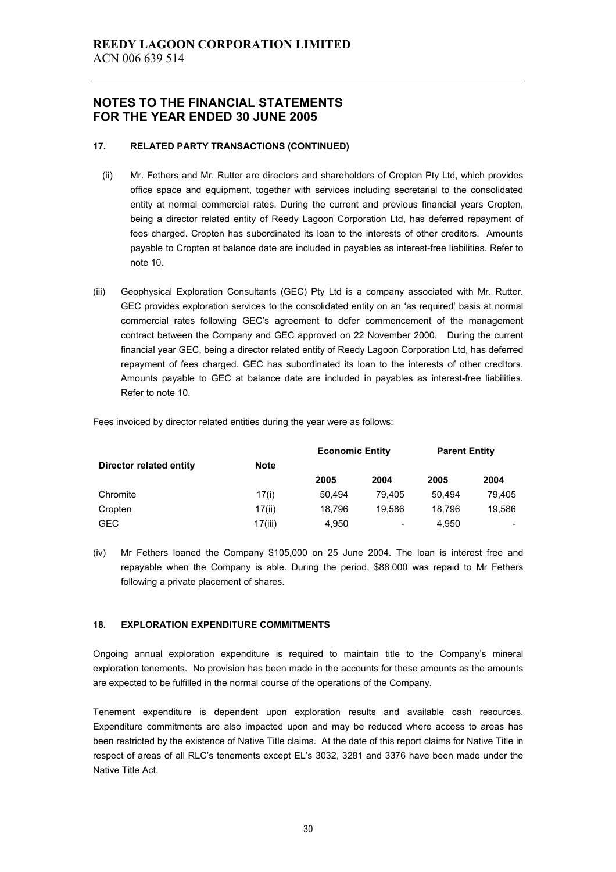# **17. RELATED PARTY TRANSACTIONS (CONTINUED)**

- (ii) Mr. Fethers and Mr. Rutter are directors and shareholders of Cropten Pty Ltd, which provides office space and equipment, together with services including secretarial to the consolidated entity at normal commercial rates. During the current and previous financial years Cropten, being a director related entity of Reedy Lagoon Corporation Ltd, has deferred repayment of fees charged. Cropten has subordinated its loan to the interests of other creditors. Amounts payable to Cropten at balance date are included in payables as interest-free liabilities. Refer to note 10.
- (iii) Geophysical Exploration Consultants (GEC) Pty Ltd is a company associated with Mr. Rutter. GEC provides exploration services to the consolidated entity on an 'as required' basis at normal commercial rates following GEC's agreement to defer commencement of the management contract between the Company and GEC approved on 22 November 2000. During the current financial year GEC, being a director related entity of Reedy Lagoon Corporation Ltd, has deferred repayment of fees charged. GEC has subordinated its loan to the interests of other creditors. Amounts payable to GEC at balance date are included in payables as interest-free liabilities. Refer to note 10.

Fees invoiced by director related entities during the year were as follows:

| Director related entity | <b>Note</b> | <b>Economic Entity</b> |                          | <b>Parent Entity</b> |        |
|-------------------------|-------------|------------------------|--------------------------|----------------------|--------|
|                         |             |                        |                          |                      |        |
|                         |             | 2005                   | 2004                     | 2005                 | 2004   |
| Chromite                | 17(i)       | 50.494                 | 79.405                   | 50.494               | 79.405 |
| Cropten                 | 17(ii)      | 18.796                 | 19.586                   | 18.796               | 19.586 |
| <b>GEC</b>              | 17(iii)     | 4,950                  | $\overline{\phantom{a}}$ | 4.950                |        |

(iv) Mr Fethers loaned the Company \$105,000 on 25 June 2004. The loan is interest free and repayable when the Company is able. During the period, \$88,000 was repaid to Mr Fethers following a private placement of shares.

### **18. EXPLORATION EXPENDITURE COMMITMENTS**

Ongoing annual exploration expenditure is required to maintain title to the Company's mineral exploration tenements. No provision has been made in the accounts for these amounts as the amounts are expected to be fulfilled in the normal course of the operations of the Company.

Tenement expenditure is dependent upon exploration results and available cash resources. Expenditure commitments are also impacted upon and may be reduced where access to areas has been restricted by the existence of Native Title claims. At the date of this report claims for Native Title in respect of areas of all RLC's tenements except EL's 3032, 3281 and 3376 have been made under the Native Title Act.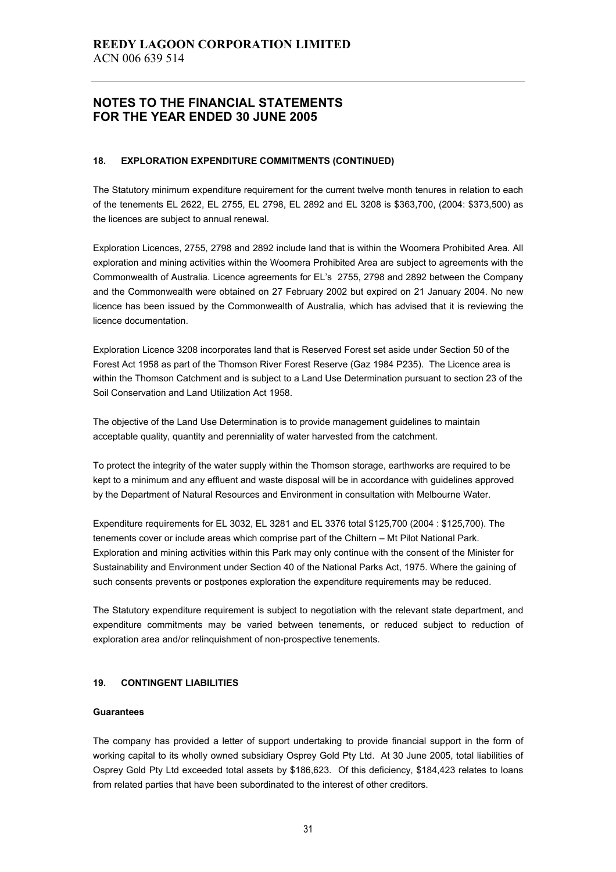#### **18. EXPLORATION EXPENDITURE COMMITMENTS (CONTINUED)**

The Statutory minimum expenditure requirement for the current twelve month tenures in relation to each of the tenements EL 2622, EL 2755, EL 2798, EL 2892 and EL 3208 is \$363,700, (2004: \$373,500) as the licences are subject to annual renewal.

Exploration Licences, 2755, 2798 and 2892 include land that is within the Woomera Prohibited Area. All exploration and mining activities within the Woomera Prohibited Area are subject to agreements with the Commonwealth of Australia. Licence agreements for EL's 2755, 2798 and 2892 between the Company and the Commonwealth were obtained on 27 February 2002 but expired on 21 January 2004. No new licence has been issued by the Commonwealth of Australia, which has advised that it is reviewing the licence documentation.

Exploration Licence 3208 incorporates land that is Reserved Forest set aside under Section 50 of the Forest Act 1958 as part of the Thomson River Forest Reserve (Gaz 1984 P235). The Licence area is within the Thomson Catchment and is subject to a Land Use Determination pursuant to section 23 of the Soil Conservation and Land Utilization Act 1958.

The objective of the Land Use Determination is to provide management guidelines to maintain acceptable quality, quantity and perenniality of water harvested from the catchment.

To protect the integrity of the water supply within the Thomson storage, earthworks are required to be kept to a minimum and any effluent and waste disposal will be in accordance with guidelines approved by the Department of Natural Resources and Environment in consultation with Melbourne Water.

Expenditure requirements for EL 3032, EL 3281 and EL 3376 total \$125,700 (2004 : \$125,700). The tenements cover or include areas which comprise part of the Chiltern – Mt Pilot National Park. Exploration and mining activities within this Park may only continue with the consent of the Minister for Sustainability and Environment under Section 40 of the National Parks Act, 1975. Where the gaining of such consents prevents or postpones exploration the expenditure requirements may be reduced.

The Statutory expenditure requirement is subject to negotiation with the relevant state department, and expenditure commitments may be varied between tenements, or reduced subject to reduction of exploration area and/or relinquishment of non-prospective tenements.

### **19. CONTINGENT LIABILITIES**

#### **Guarantees**

The company has provided a letter of support undertaking to provide financial support in the form of working capital to its wholly owned subsidiary Osprey Gold Pty Ltd. At 30 June 2005, total liabilities of Osprey Gold Pty Ltd exceeded total assets by \$186,623. Of this deficiency, \$184,423 relates to loans from related parties that have been subordinated to the interest of other creditors.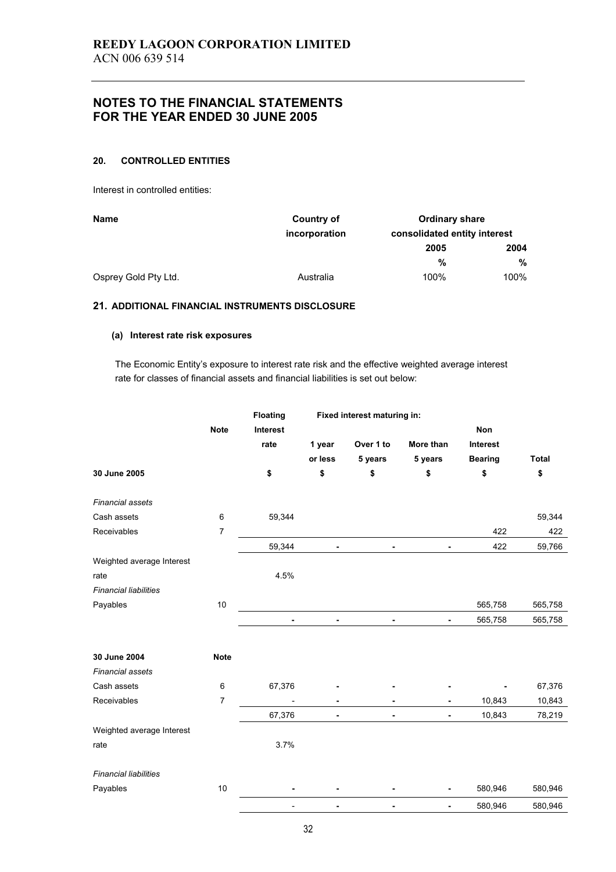## **20. CONTROLLED ENTITIES**

Interest in controlled entities:

| <b>Name</b>          | Country of    | <b>Ordinary share</b><br>consolidated entity interest |      |  |
|----------------------|---------------|-------------------------------------------------------|------|--|
|                      | incorporation |                                                       |      |  |
|                      |               | 2005                                                  | 2004 |  |
|                      |               | %                                                     | %    |  |
| Osprey Gold Pty Ltd. | Australia     | 100%                                                  | 100% |  |

### **21. ADDITIONAL FINANCIAL INSTRUMENTS DISCLOSURE**

# **(a) Interest rate risk exposures**

The Economic Entity's exposure to interest rate risk and the effective weighted average interest rate for classes of financial assets and financial liabilities is set out below:

|                              |                | <b>Floating</b> |                |                          | Fixed interest maturing in: |                |              |  |
|------------------------------|----------------|-----------------|----------------|--------------------------|-----------------------------|----------------|--------------|--|
|                              | <b>Note</b>    | Interest        |                |                          |                             | Non            |              |  |
|                              |                | rate            | 1 year         | Over 1 to                | More than                   | Interest       |              |  |
|                              |                |                 | or less        | 5 years                  | 5 years                     | <b>Bearing</b> | <b>Total</b> |  |
| 30 June 2005                 |                | \$              | \$             | \$                       | \$                          | \$             | \$           |  |
| <b>Financial assets</b>      |                |                 |                |                          |                             |                |              |  |
| Cash assets                  | 6              | 59,344          |                |                          |                             |                | 59,344       |  |
| Receivables                  | $\overline{7}$ |                 |                |                          |                             | 422            | 422          |  |
|                              |                | 59,344          | $\blacksquare$ | $\overline{\phantom{0}}$ | ٠                           | 422            | 59,766       |  |
| Weighted average Interest    |                |                 |                |                          |                             |                |              |  |
| rate                         |                | 4.5%            |                |                          |                             |                |              |  |
| <b>Financial liabilities</b> |                |                 |                |                          |                             |                |              |  |
| Payables                     | 10             |                 |                |                          |                             | 565,758        | 565,758      |  |
|                              |                | ۰               | $\blacksquare$ | ٠                        | $\blacksquare$              | 565,758        | 565,758      |  |
| 30 June 2004                 | <b>Note</b>    |                 |                |                          |                             |                |              |  |
| Financial assets             |                |                 |                |                          |                             |                |              |  |
| Cash assets                  | 6              | 67,376          |                |                          |                             |                | 67,376       |  |
| Receivables                  | 7              |                 |                |                          |                             | 10,843         | 10,843       |  |
|                              |                | 67,376          | $\blacksquare$ | ٠                        | ۰                           | 10,843         | 78,219       |  |
| Weighted average Interest    |                |                 |                |                          |                             |                |              |  |
| rate                         |                | 3.7%            |                |                          |                             |                |              |  |
| <b>Financial liabilities</b> |                |                 |                |                          |                             |                |              |  |
| Payables                     | 10             |                 |                | ٠                        |                             | 580,946        | 580,946      |  |
|                              |                |                 |                | ä,                       | ۰                           | 580,946        | 580,946      |  |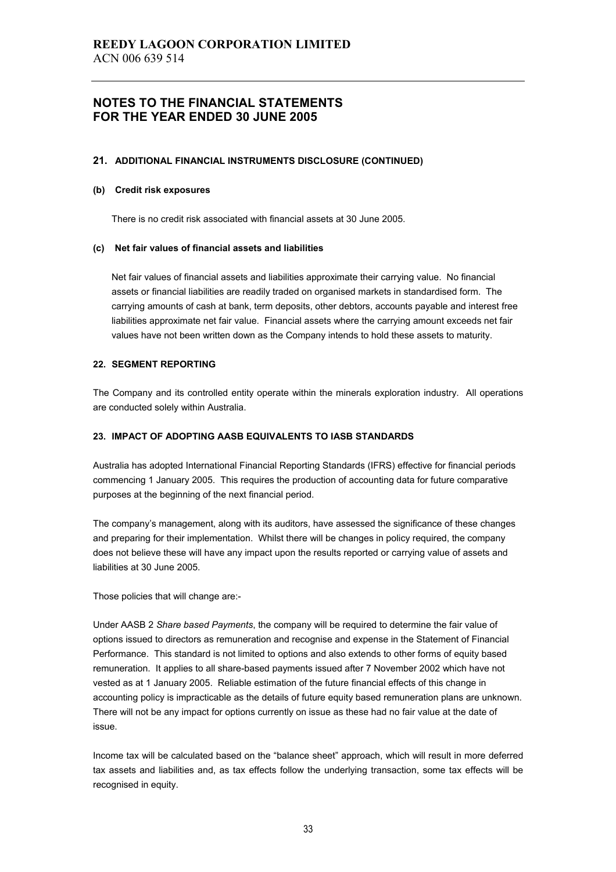#### **21. ADDITIONAL FINANCIAL INSTRUMENTS DISCLOSURE (CONTINUED)**

#### **(b) Credit risk exposures**

There is no credit risk associated with financial assets at 30 June 2005.

### **(c) Net fair values of financial assets and liabilities**

Net fair values of financial assets and liabilities approximate their carrying value. No financial assets or financial liabilities are readily traded on organised markets in standardised form. The carrying amounts of cash at bank, term deposits, other debtors, accounts payable and interest free liabilities approximate net fair value. Financial assets where the carrying amount exceeds net fair values have not been written down as the Company intends to hold these assets to maturity.

### **22. SEGMENT REPORTING**

The Company and its controlled entity operate within the minerals exploration industry. All operations are conducted solely within Australia.

### **23. IMPACT OF ADOPTING AASB EQUIVALENTS TO IASB STANDARDS**

Australia has adopted International Financial Reporting Standards (IFRS) effective for financial periods commencing 1 January 2005. This requires the production of accounting data for future comparative purposes at the beginning of the next financial period.

The company's management, along with its auditors, have assessed the significance of these changes and preparing for their implementation. Whilst there will be changes in policy required, the company does not believe these will have any impact upon the results reported or carrying value of assets and liabilities at 30 June 2005.

Those policies that will change are:-

Under AASB 2 *Share based Payments*, the company will be required to determine the fair value of options issued to directors as remuneration and recognise and expense in the Statement of Financial Performance. This standard is not limited to options and also extends to other forms of equity based remuneration. It applies to all share-based payments issued after 7 November 2002 which have not vested as at 1 January 2005. Reliable estimation of the future financial effects of this change in accounting policy is impracticable as the details of future equity based remuneration plans are unknown. There will not be any impact for options currently on issue as these had no fair value at the date of issue.

Income tax will be calculated based on the "balance sheet" approach, which will result in more deferred tax assets and liabilities and, as tax effects follow the underlying transaction, some tax effects will be recognised in equity.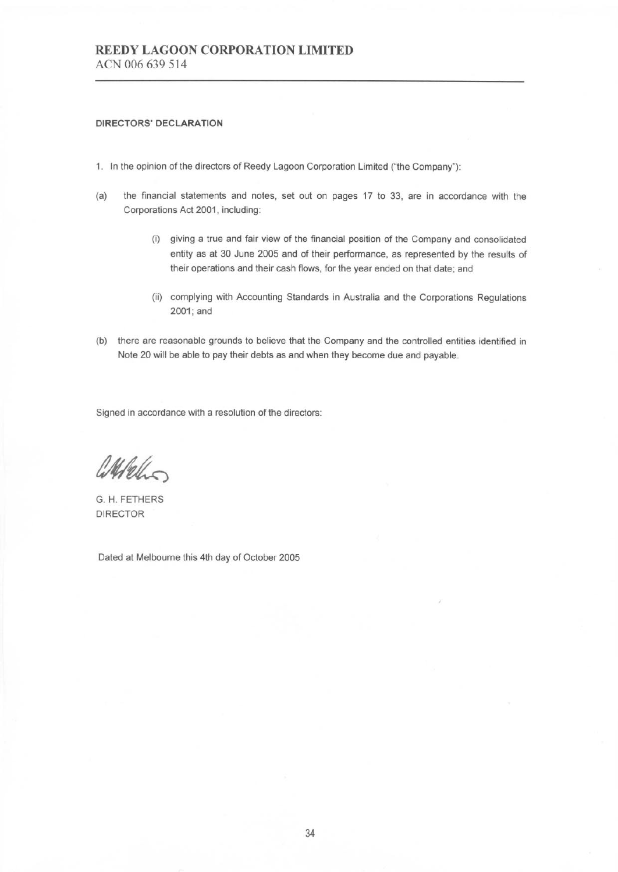#### **DIRECTORS' DECLARATION**

- 1. In the opinion of the directors of Reedy Lagoon Corporation Limited ("the Company"):
- the financial statements and notes, set out on pages 17 to 33, are in accordance with the  $(a)$ Corporations Act 2001, including:
	- (i) giving a true and fair view of the financial position of the Company and consolidated entity as at 30 June 2005 and of their performance, as represented by the results of their operations and their cash flows, for the year ended on that date; and
	- (ii) complying with Accounting Standards in Australia and the Corporations Regulations 2001; and
- (b) there are reasonable grounds to believe that the Company and the controlled entities identified in Note 20 will be able to pay their debts as and when they become due and payable.

Signed in accordance with a resolution of the directors:

MAN

G. H. FETHERS **DIRECTOR** 

Dated at Melbourne this 4th day of October 2005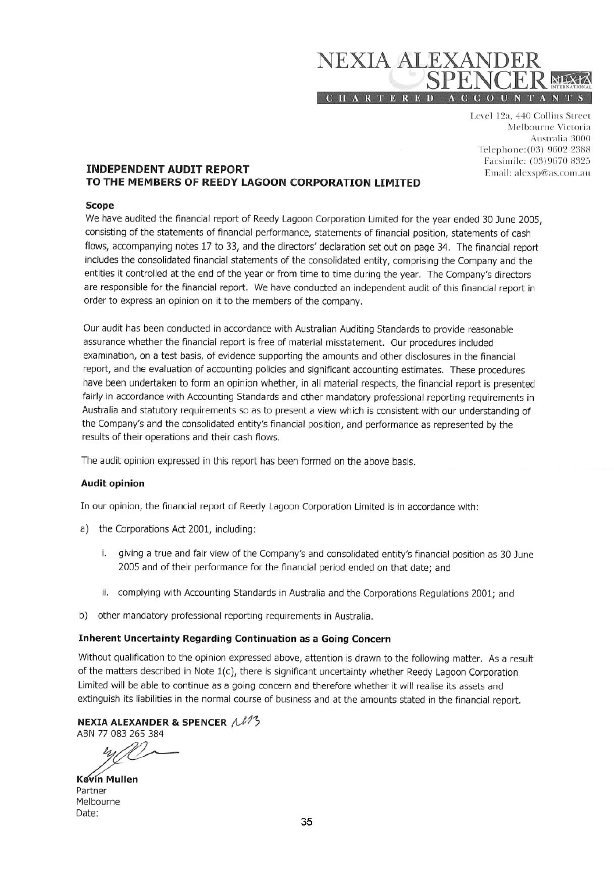

Level 12a, 440 Collins Street Melbourne Victoria Australia 3000 Telephone: (03) 9602 2388 Facsimile: (03)9670 8325 Email: alexsp@as.com.au

# **INDEPENDENT AUDIT REPORT** TO THE MEMBERS OF REEDY LAGOON CORPORATION LIMITED

#### **Scope**

We have audited the financial report of Reedy Lagoon Corporation Limited for the year ended 30 June 2005. consisting of the statements of financial performance, statements of financial position, statements of cash flows, accompanying notes 17 to 33, and the directors' declaration set out on page 34. The financial report includes the consolidated financial statements of the consolidated entity, comprising the Company and the entities it controlled at the end of the year or from time to time during the year. The Company's directors are responsible for the financial report. We have conducted an independent audit of this financial report in order to express an opinion on it to the members of the company.

Our audit has been conducted in accordance with Australian Auditing Standards to provide reasonable assurance whether the financial report is free of material misstatement. Our procedures included examination, on a test basis, of evidence supporting the amounts and other disclosures in the financial report, and the evaluation of accounting policies and significant accounting estimates. These procedures have been undertaken to form an opinion whether, in all material respects, the financial report is presented fairly in accordance with Accounting Standards and other mandatory professional reporting requirements in Australia and statutory requirements so as to present a view which is consistent with our understanding of the Company's and the consolidated entity's financial position, and performance as represented by the results of their operations and their cash flows.

The audit opinion expressed in this report has been formed on the above basis.

#### **Audit opinion**

In our opinion, the financial report of Reedy Lagoon Corporation Limited is in accordance with:

- a) the Corporations Act 2001, including:
	- i. qiving a true and fair view of the Company's and consolidated entity's financial position as 30 June 2005 and of their performance for the financial period ended on that date; and
	- ii. complying with Accounting Standards in Australia and the Corporations Regulations 2001; and
- b) other mandatory professional reporting requirements in Australia.

### Inherent Uncertainty Regarding Continuation as a Going Concern

Without qualification to the opinion expressed above, attention is drawn to the following matter. As a result of the matters described in Note 1(c), there is significant uncertainty whether Reedy Lagoon Corporation Limited will be able to continue as a going concern and therefore whether it will realise its assets and extinguish its liabilities in the normal course of business and at the amounts stated in the financial report.

NEXIA ALEXANDER & SPENCER N/73 ABN 77 083 265 384

**Kevin Mullen** Partner Melbourne Date: